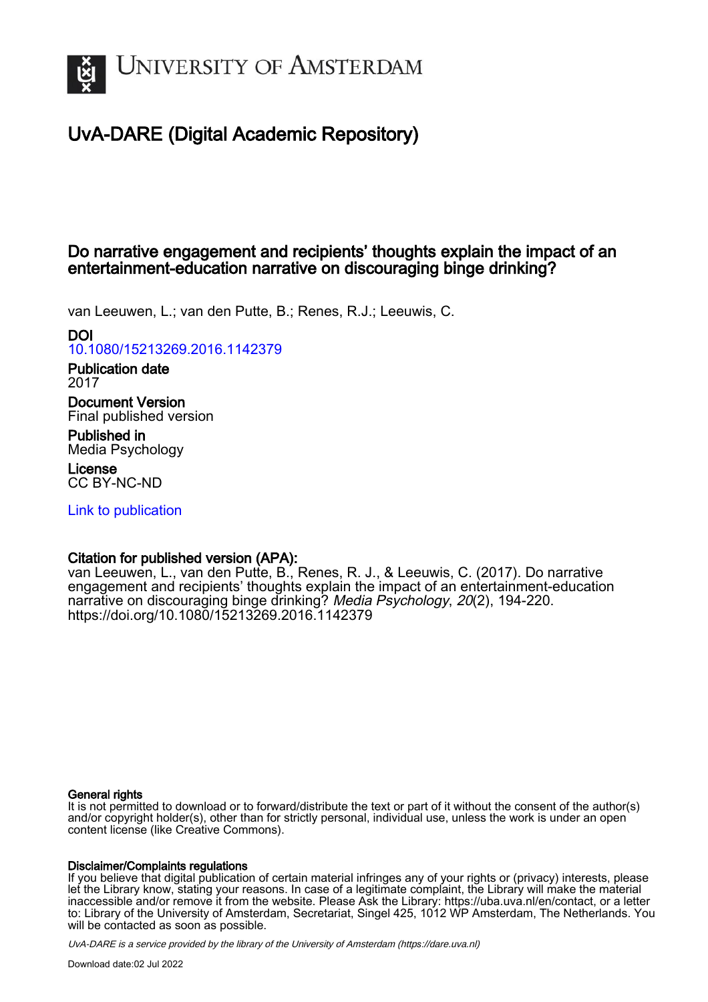

# UvA-DARE (Digital Academic Repository)

# Do narrative engagement and recipients' thoughts explain the impact of an entertainment-education narrative on discouraging binge drinking?

van Leeuwen, L.; van den Putte, B.; Renes, R.J.; Leeuwis, C.

# DOI

[10.1080/15213269.2016.1142379](https://doi.org/10.1080/15213269.2016.1142379)

#### Publication date 2017

Document Version Final published version

Published in Media Psychology

License CC BY-NC-ND

[Link to publication](https://dare.uva.nl/personal/pure/en/publications/do-narrative-engagement-and-recipients-thoughts-explain-the-impact-of-an-entertainmenteducation-narrative-on-discouraging-binge-drinking(98857730-0d12-47be-9337-2bc5408e449e).html)

# Citation for published version (APA):

van Leeuwen, L., van den Putte, B., Renes, R. J., & Leeuwis, C. (2017). Do narrative engagement and recipients' thoughts explain the impact of an entertainment-education narrative on discouraging binge drinking? Media Psychology, 20(2), 194-220. <https://doi.org/10.1080/15213269.2016.1142379>

# General rights

It is not permitted to download or to forward/distribute the text or part of it without the consent of the author(s) and/or copyright holder(s), other than for strictly personal, individual use, unless the work is under an open content license (like Creative Commons).

# Disclaimer/Complaints regulations

If you believe that digital publication of certain material infringes any of your rights or (privacy) interests, please let the Library know, stating your reasons. In case of a legitimate complaint, the Library will make the material inaccessible and/or remove it from the website. Please Ask the Library: https://uba.uva.nl/en/contact, or a letter to: Library of the University of Amsterdam, Secretariat, Singel 425, 1012 WP Amsterdam, The Netherlands. You will be contacted as soon as possible.

UvA-DARE is a service provided by the library of the University of Amsterdam (http*s*://dare.uva.nl)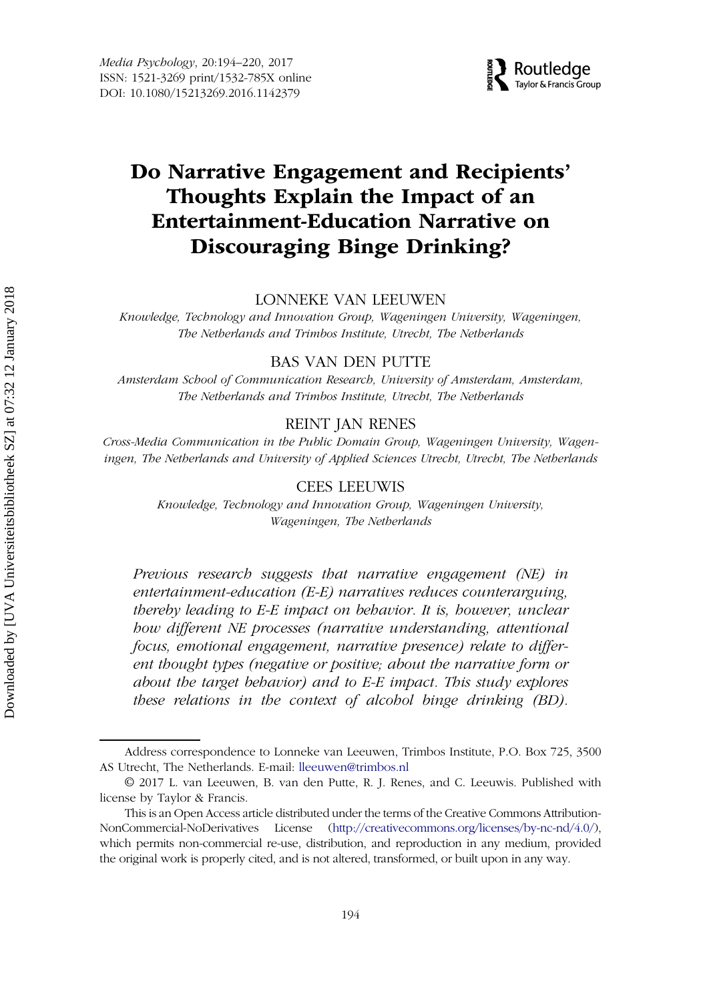

# Do Narrative Engagement and Recipients' Thoughts Explain the Impact of an Entertainment-Education Narrative on Discouraging Binge Drinking?

#### LONNEKE VAN LEEUWEN

Knowledge, Technology and Innovation Group, Wageningen University, Wageningen, The Netherlands and Trimbos Institute, Utrecht, The Netherlands

#### BAS VAN DEN PUTTE

Amsterdam School of Communication Research, University of Amsterdam, Amsterdam, The Netherlands and Trimbos Institute, Utrecht, The Netherlands

#### REINT JAN RENES

Cross-Media Communication in the Public Domain Group, Wageningen University, Wageningen, The Netherlands and University of Applied Sciences Utrecht, Utrecht, The Netherlands

#### CEES LEEUWIS

Knowledge, Technology and Innovation Group, Wageningen University, Wageningen, The Netherlands

Previous research suggests that narrative engagement (NE) in entertainment-education (E-E) narratives reduces counterarguing, thereby leading to E-E impact on behavior. It is, however, unclear how different NE processes (narrative understanding, attentional focus, emotional engagement, narrative presence) relate to different thought types (negative or positive; about the narrative form or about the target behavior) and to E-E impact. This study explores these relations in the context of alcohol binge drinking (BD).

Address correspondence to Lonneke van Leeuwen, Trimbos Institute, P.O. Box 725, 3500 AS Utrecht, The Netherlands. E-mail: lleeuwen@trimbos.nl

<sup>© 2017</sup> L. van Leeuwen, B. van den Putte, R. J. Renes, and C. Leeuwis. Published with license by Taylor & Francis.

This is an Open Access article distributed under the terms of the Creative Commons Attribution-NonCommercial-NoDerivatives License [\(http://creativecommons.org/licenses/by-nc-nd/4.0/](http://creativecommons.org/licenses/by-nc-nd/4.0/)), which permits non-commercial re-use, distribution, and reproduction in any medium, provided the original work is properly cited, and is not altered, transformed, or built upon in any way.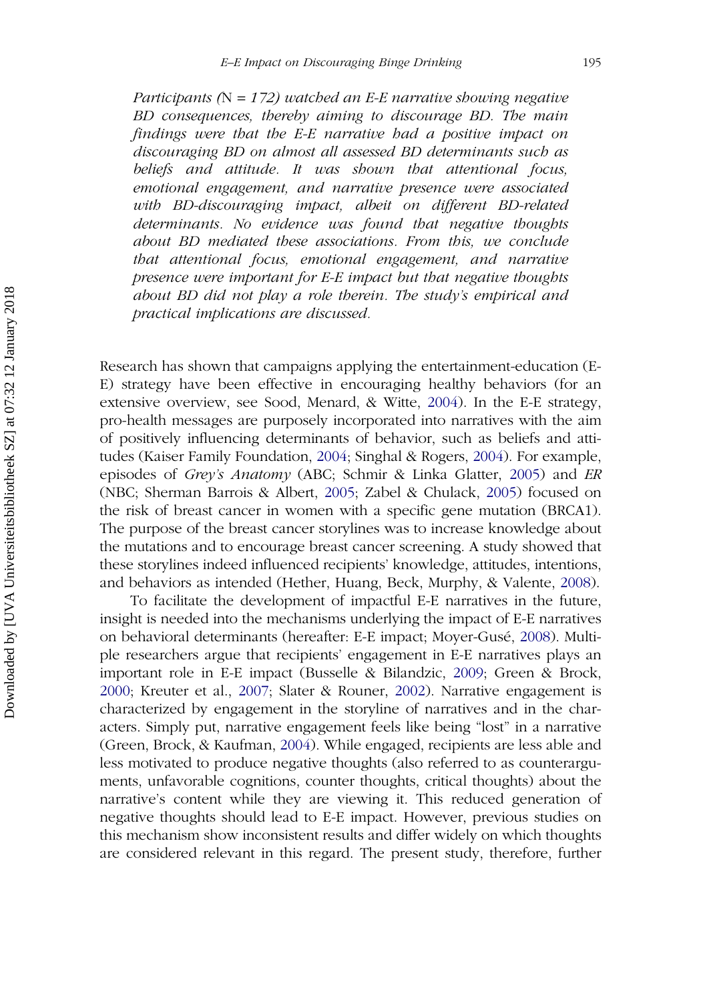Participants ( $N = 172$ ) watched an E-E narrative showing negative BD consequences, thereby aiming to discourage BD. The main findings were that the E-E narrative had a positive impact on discouraging BD on almost all assessed BD determinants such as beliefs and attitude. It was shown that attentional focus, emotional engagement, and narrative presence were associated with BD-discouraging impact, albeit on different BD-related determinants. No evidence was found that negative thoughts about BD mediated these associations. From this, we conclude that attentional focus, emotional engagement, and narrative presence were important for E-E impact but that negative thoughts about BD did not play a role therein. The study's empirical and practical implications are discussed.

Research has shown that campaigns applying the entertainment-education (E-E) strategy have been effective in encouraging healthy behaviors (for an extensive overview, see Sood, Menard, & Witte, [2004](#page-26-0)). In the E-E strategy, pro-health messages are purposely incorporated into narratives with the aim of positively influencing determinants of behavior, such as beliefs and attitudes (Kaiser Family Foundation, [2004;](#page-25-0) Singhal & Rogers, [2004\)](#page-26-0). For example, episodes of Grey's Anatomy (ABC; Schmir & Linka Glatter, [2005](#page-26-0)) and ER (NBC; Sherman Barrois & Albert, [2005](#page-26-0); Zabel & Chulack, [2005](#page-27-0)) focused on the risk of breast cancer in women with a specific gene mutation (BRCA1). The purpose of the breast cancer storylines was to increase knowledge about the mutations and to encourage breast cancer screening. A study showed that these storylines indeed influenced recipients' knowledge, attitudes, intentions, and behaviors as intended (Hether, Huang, Beck, Murphy, & Valente, [2008\)](#page-25-0).

To facilitate the development of impactful E-E narratives in the future, insight is needed into the mechanisms underlying the impact of E-E narratives on behavioral determinants (hereafter: E-E impact; Moyer-Gusé, [2008\)](#page-26-0). Multiple researchers argue that recipients' engagement in E-E narratives plays an important role in E-E impact (Busselle & Bilandzic, [2009;](#page-24-0) Green & Brock, [2000;](#page-25-0) Kreuter et al., [2007](#page-25-0); Slater & Rouner, [2002\)](#page-26-0). Narrative engagement is characterized by engagement in the storyline of narratives and in the characters. Simply put, narrative engagement feels like being "lost" in a narrative (Green, Brock, & Kaufman, [2004](#page-25-0)). While engaged, recipients are less able and less motivated to produce negative thoughts (also referred to as counterarguments, unfavorable cognitions, counter thoughts, critical thoughts) about the narrative's content while they are viewing it. This reduced generation of negative thoughts should lead to E-E impact. However, previous studies on this mechanism show inconsistent results and differ widely on which thoughts are considered relevant in this regard. The present study, therefore, further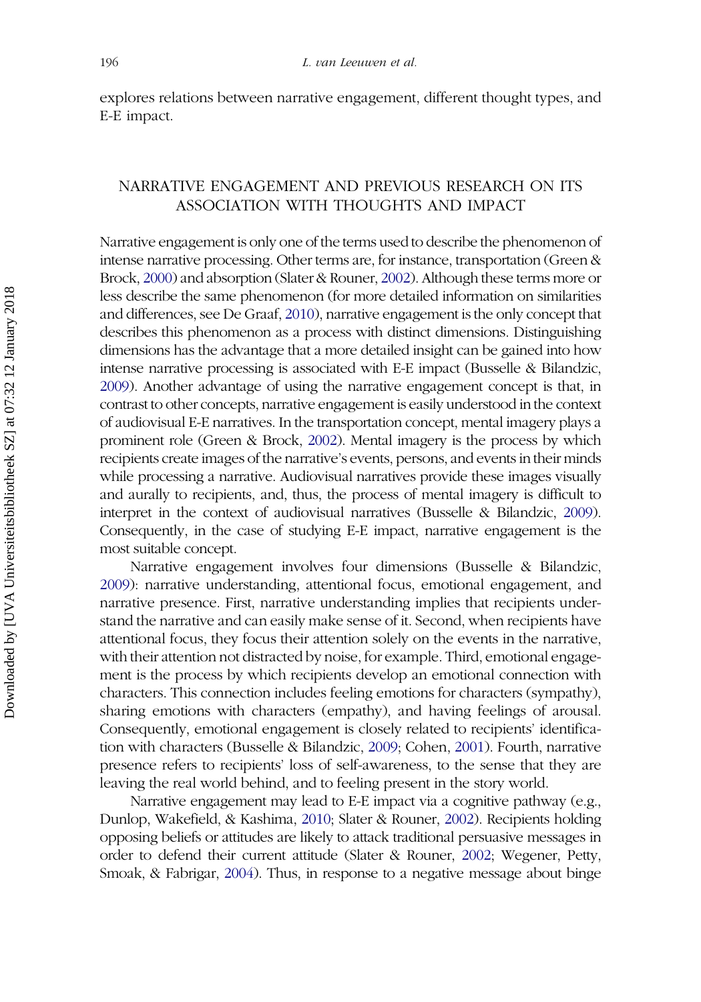explores relations between narrative engagement, different thought types, and E-E impact.

# NARRATIVE ENGAGEMENT AND PREVIOUS RESEARCH ON ITS ASSOCIATION WITH THOUGHTS AND IMPACT

Narrative engagement is only one of the terms used to describe the phenomenon of intense narrative processing. Other terms are, for instance, transportation (Green & Brock, [2000\)](#page-25-0) and absorption (Slater & Rouner, [2002\)](#page-26-0). Although these terms more or less describe the same phenomenon (for more detailed information on similarities and differences, see De Graaf, [2010\)](#page-24-0), narrative engagement is the only concept that describes this phenomenon as a process with distinct dimensions. Distinguishing dimensions has the advantage that a more detailed insight can be gained into how intense narrative processing is associated with E-E impact (Busselle & Bilandzic, [2009\)](#page-24-0). Another advantage of using the narrative engagement concept is that, in contrast to other concepts, narrative engagement is easily understood in the context of audiovisual E-E narratives. In the transportation concept, mental imagery plays a prominent role (Green & Brock, [2002](#page-25-0)). Mental imagery is the process by which recipients create images of the narrative's events, persons, and events in their minds while processing a narrative. Audiovisual narratives provide these images visually and aurally to recipients, and, thus, the process of mental imagery is difficult to interpret in the context of audiovisual narratives (Busselle & Bilandzic, [2009](#page-24-0)). Consequently, in the case of studying E-E impact, narrative engagement is the most suitable concept.

Narrative engagement involves four dimensions (Busselle & Bilandzic, [2009](#page-24-0)): narrative understanding, attentional focus, emotional engagement, and narrative presence. First, narrative understanding implies that recipients understand the narrative and can easily make sense of it. Second, when recipients have attentional focus, they focus their attention solely on the events in the narrative, with their attention not distracted by noise, for example. Third, emotional engagement is the process by which recipients develop an emotional connection with characters. This connection includes feeling emotions for characters (sympathy), sharing emotions with characters (empathy), and having feelings of arousal. Consequently, emotional engagement is closely related to recipients' identification with characters (Busselle & Bilandzic, [2009;](#page-24-0) Cohen, [2001](#page-24-0)). Fourth, narrative presence refers to recipients' loss of self-awareness, to the sense that they are leaving the real world behind, and to feeling present in the story world.

Narrative engagement may lead to E-E impact via a cognitive pathway (e.g., Dunlop, Wakefield, & Kashima, [2010;](#page-24-0) Slater & Rouner, [2002\)](#page-26-0). Recipients holding opposing beliefs or attitudes are likely to attack traditional persuasive messages in order to defend their current attitude (Slater & Rouner, [2002;](#page-26-0) Wegener, Petty, Smoak, & Fabrigar, [2004](#page-27-0)). Thus, in response to a negative message about binge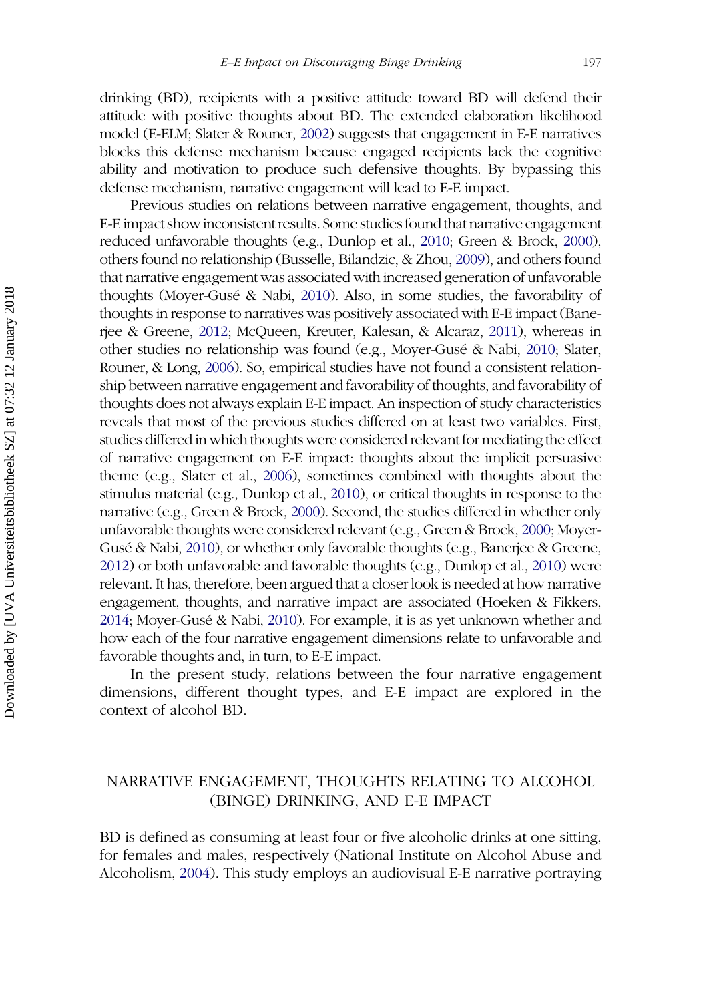drinking (BD), recipients with a positive attitude toward BD will defend their attitude with positive thoughts about BD. The extended elaboration likelihood model (E-ELM; Slater & Rouner, [2002\)](#page-26-0) suggests that engagement in E-E narratives blocks this defense mechanism because engaged recipients lack the cognitive ability and motivation to produce such defensive thoughts. By bypassing this defense mechanism, narrative engagement will lead to E-E impact.

Previous studies on relations between narrative engagement, thoughts, and E-E impact show inconsistent results. Some studies found that narrative engagement reduced unfavorable thoughts (e.g., Dunlop et al., [2010](#page-24-0); Green & Brock, [2000\)](#page-25-0), others found no relationship (Busselle, Bilandzic, & Zhou, [2009](#page-24-0)), and others found that narrative engagement was associated with increased generation of unfavorable thoughts (Moyer-Gusé & Nabi, [2010](#page-26-0)). Also, in some studies, the favorability of thoughts in response to narratives was positively associated with E-E impact (Banerjee & Greene, [2012;](#page-23-0) McQueen, Kreuter, Kalesan, & Alcaraz, [2011](#page-25-0)), whereas in other studies no relationship was found (e.g., Moyer-Gusé & Nabi, [2010](#page-26-0); Slater, Rouner, & Long, [2006](#page-26-0)). So, empirical studies have not found a consistent relationship between narrative engagement and favorability of thoughts, and favorability of thoughts does not always explain E-E impact. An inspection of study characteristics reveals that most of the previous studies differed on at least two variables. First, studies differed in which thoughts were considered relevant for mediating the effect of narrative engagement on E-E impact: thoughts about the implicit persuasive theme (e.g., Slater et al., [2006\)](#page-26-0), sometimes combined with thoughts about the stimulus material (e.g., Dunlop et al., [2010\)](#page-24-0), or critical thoughts in response to the narrative (e.g., Green & Brock, [2000](#page-25-0)). Second, the studies differed in whether only unfavorable thoughts were considered relevant (e.g., Green & Brock, [2000;](#page-25-0) Moyer-Gusé & Nabi, [2010](#page-26-0)), or whether only favorable thoughts (e.g., Banerjee & Greene, [2012\)](#page-23-0) or both unfavorable and favorable thoughts (e.g., Dunlop et al., [2010](#page-24-0)) were relevant. It has, therefore, been argued that a closer look is needed at how narrative engagement, thoughts, and narrative impact are associated (Hoeken & Fikkers, [2014;](#page-25-0) Moyer-Gusé & Nabi, [2010](#page-26-0)). For example, it is as yet unknown whether and how each of the four narrative engagement dimensions relate to unfavorable and favorable thoughts and, in turn, to E-E impact.

In the present study, relations between the four narrative engagement dimensions, different thought types, and E-E impact are explored in the context of alcohol BD.

# NARRATIVE ENGAGEMENT, THOUGHTS RELATING TO ALCOHOL (BINGE) DRINKING, AND E-E IMPACT

BD is defined as consuming at least four or five alcoholic drinks at one sitting, for females and males, respectively (National Institute on Alcohol Abuse and Alcoholism, [2004\)](#page-26-0). This study employs an audiovisual E-E narrative portraying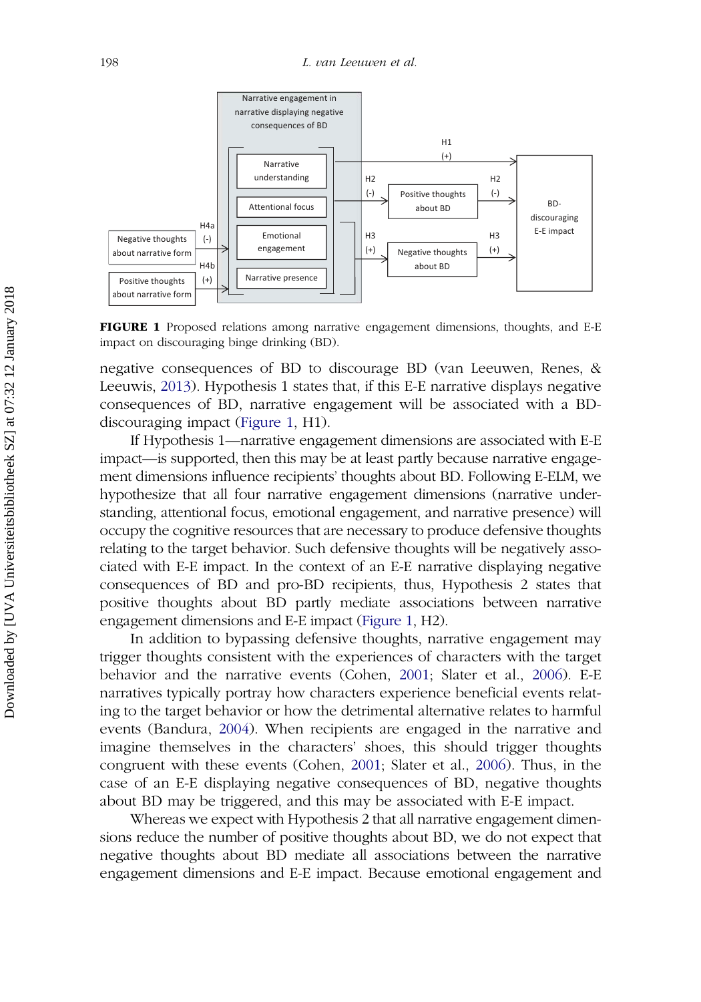<span id="page-5-0"></span>

FIGURE 1 Proposed relations among narrative engagement dimensions, thoughts, and E-E impact on discouraging binge drinking (BD).

negative consequences of BD to discourage BD (van Leeuwen, Renes, & Leeuwis, [2013](#page-26-0)). Hypothesis 1 states that, if this E-E narrative displays negative consequences of BD, narrative engagement will be associated with a BDdiscouraging impact (Figure 1, H1).

If Hypothesis 1—narrative engagement dimensions are associated with E-E impact—is supported, then this may be at least partly because narrative engagement dimensions influence recipients' thoughts about BD. Following E-ELM, we hypothesize that all four narrative engagement dimensions (narrative understanding, attentional focus, emotional engagement, and narrative presence) will occupy the cognitive resources that are necessary to produce defensive thoughts relating to the target behavior. Such defensive thoughts will be negatively associated with E-E impact. In the context of an E-E narrative displaying negative consequences of BD and pro-BD recipients, thus, Hypothesis 2 states that positive thoughts about BD partly mediate associations between narrative engagement dimensions and E-E impact (Figure 1, H2).

In addition to bypassing defensive thoughts, narrative engagement may trigger thoughts consistent with the experiences of characters with the target behavior and the narrative events (Cohen, [2001;](#page-24-0) Slater et al., [2006](#page-26-0)). E-E narratives typically portray how characters experience beneficial events relating to the target behavior or how the detrimental alternative relates to harmful events (Bandura, [2004](#page-23-0)). When recipients are engaged in the narrative and imagine themselves in the characters' shoes, this should trigger thoughts congruent with these events (Cohen, [2001](#page-24-0); Slater et al., [2006\)](#page-26-0). Thus, in the case of an E-E displaying negative consequences of BD, negative thoughts about BD may be triggered, and this may be associated with E-E impact.

Whereas we expect with Hypothesis 2 that all narrative engagement dimensions reduce the number of positive thoughts about BD, we do not expect that negative thoughts about BD mediate all associations between the narrative engagement dimensions and E-E impact. Because emotional engagement and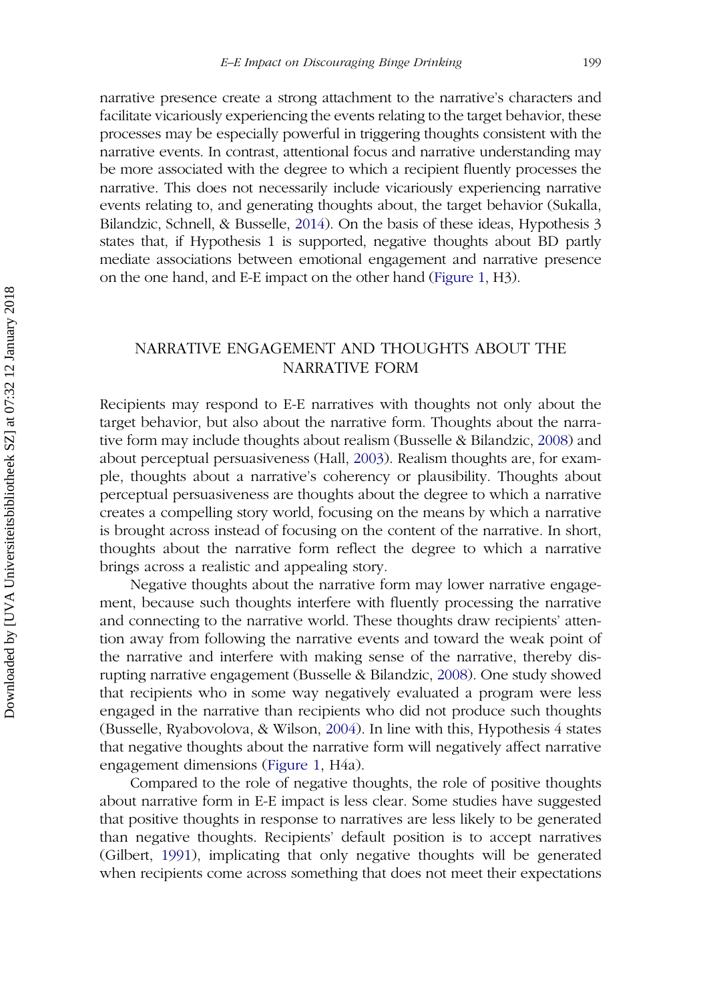narrative presence create a strong attachment to the narrative's characters and facilitate vicariously experiencing the events relating to the target behavior, these processes may be especially powerful in triggering thoughts consistent with the narrative events. In contrast, attentional focus and narrative understanding may be more associated with the degree to which a recipient fluently processes the narrative. This does not necessarily include vicariously experiencing narrative events relating to, and generating thoughts about, the target behavior (Sukalla, Bilandzic, Schnell, & Busselle, [2014](#page-26-0)). On the basis of these ideas, Hypothesis 3 states that, if Hypothesis 1 is supported, negative thoughts about BD partly mediate associations between emotional engagement and narrative presence on the one hand, and E-E impact on the other hand [\(Figure 1,](#page-5-0) H3).

# NARRATIVE ENGAGEMENT AND THOUGHTS ABOUT THE NARRATIVE FORM

Recipients may respond to E-E narratives with thoughts not only about the target behavior, but also about the narrative form. Thoughts about the narrative form may include thoughts about realism (Busselle & Bilandzic, [2008](#page-24-0)) and about perceptual persuasiveness (Hall, [2003](#page-25-0)). Realism thoughts are, for example, thoughts about a narrative's coherency or plausibility. Thoughts about perceptual persuasiveness are thoughts about the degree to which a narrative creates a compelling story world, focusing on the means by which a narrative is brought across instead of focusing on the content of the narrative. In short, thoughts about the narrative form reflect the degree to which a narrative brings across a realistic and appealing story.

Negative thoughts about the narrative form may lower narrative engagement, because such thoughts interfere with fluently processing the narrative and connecting to the narrative world. These thoughts draw recipients' attention away from following the narrative events and toward the weak point of the narrative and interfere with making sense of the narrative, thereby disrupting narrative engagement (Busselle & Bilandzic, [2008](#page-24-0)). One study showed that recipients who in some way negatively evaluated a program were less engaged in the narrative than recipients who did not produce such thoughts (Busselle, Ryabovolova, & Wilson, [2004\)](#page-24-0). In line with this, Hypothesis 4 states that negative thoughts about the narrative form will negatively affect narrative engagement dimensions [\(Figure 1](#page-5-0), H4a).

Compared to the role of negative thoughts, the role of positive thoughts about narrative form in E-E impact is less clear. Some studies have suggested that positive thoughts in response to narratives are less likely to be generated than negative thoughts. Recipients' default position is to accept narratives (Gilbert, [1991\)](#page-25-0), implicating that only negative thoughts will be generated when recipients come across something that does not meet their expectations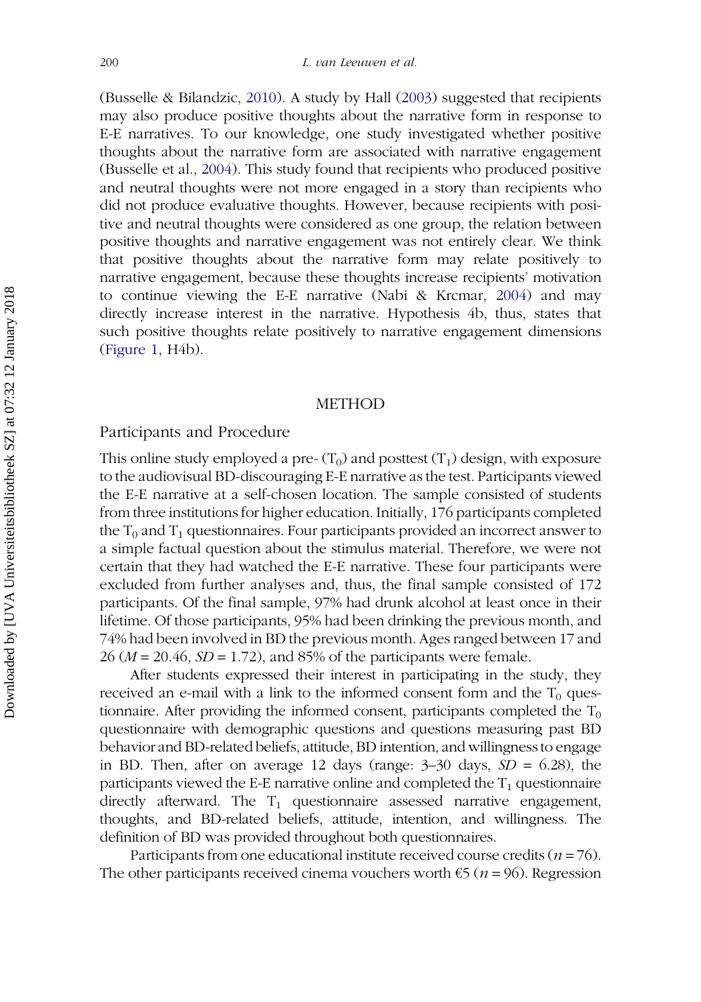(Busselle & Bilandzic, [2010\)](#page-24-0). A study by Hall ([2003](#page-25-0)) suggested that recipients may also produce positive thoughts about the narrative form in response to E-E narratives. To our knowledge, one study investigated whether positive thoughts about the narrative form are associated with narrative engagement (Busselle et al., [2004\)](#page-24-0). This study found that recipients who produced positive and neutral thoughts were not more engaged in a story than recipients who did not produce evaluative thoughts. However, because recipients with positive and neutral thoughts were considered as one group, the relation between positive thoughts and narrative engagement was not entirely clear. We think that positive thoughts about the narrative form may relate positively to narrative engagement, because these thoughts increase recipients' motivation to continue viewing the E-E narrative (Nabi & Krcmar, [2004](#page-26-0)) and may directly increase interest in the narrative. Hypothesis 4b, thus, states that such positive thoughts relate positively to narrative engagement dimensions ([Figure 1,](#page-5-0) H4b).

#### METHOD

## Participants and Procedure

This online study employed a pre- $(T_0)$  and posttest  $(T_1)$  design, with exposure to the audiovisual BD-discouraging E-E narrative as the test. Participants viewed the E-E narrative at a self-chosen location. The sample consisted of students from three institutions for higher education. Initially, 176 participants completed the  $T_0$  and  $T_1$  questionnaires. Four participants provided an incorrect answer to a simple factual question about the stimulus material. Therefore, we were not certain that they had watched the E-E narrative. These four participants were excluded from further analyses and, thus, the final sample consisted of 172 participants. Of the final sample, 97% had drunk alcohol at least once in their lifetime. Of those participants, 95% had been drinking the previous month, and 74% had been involved in BD the previous month. Ages ranged between 17 and  $26 (M = 20.46, SD = 1.72)$ , and 85% of the participants were female.

After students expressed their interest in participating in the study, they received an e-mail with a link to the informed consent form and the  $T_0$  questionnaire. After providing the informed consent, participants completed the  $T_0$ questionnaire with demographic questions and questions measuring past BD behavior and BD-related beliefs, attitude, BD intention, and willingness to engage in BD. Then, after on average 12 days (range:  $3-30$  days,  $SD = 6.28$ ), the participants viewed the E-E narrative online and completed the  $T_1$  questionnaire directly afterward. The  $T_1$  questionnaire assessed narrative engagement, thoughts, and BD-related beliefs, attitude, intention, and willingness. The definition of BD was provided throughout both questionnaires.

Participants from one educational institute received course credits ( $n = 76$ ). The other participants received cinema vouchers worth  $\epsilon$ 5 (*n* = 96). Regression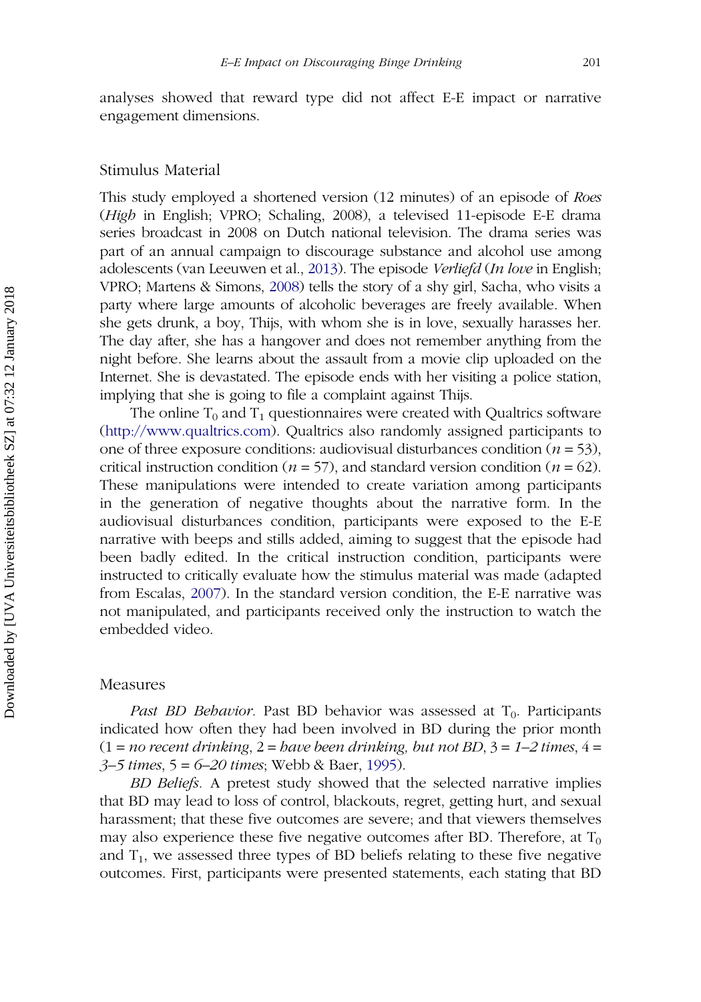analyses showed that reward type did not affect E-E impact or narrative engagement dimensions.

#### Stimulus Material

This study employed a shortened version (12 minutes) of an episode of Roes (High in English; VPRO; Schaling, 2008), a televised 11-episode E-E drama series broadcast in 2008 on Dutch national television. The drama series was part of an annual campaign to discourage substance and alcohol use among adolescents (van Leeuwen et al., [2013\)](#page-26-0). The episode Verliefd (In love in English; VPRO; Martens & Simons, [2008\)](#page-25-0) tells the story of a shy girl, Sacha, who visits a party where large amounts of alcoholic beverages are freely available. When she gets drunk, a boy, Thijs, with whom she is in love, sexually harasses her. The day after, she has a hangover and does not remember anything from the night before. She learns about the assault from a movie clip uploaded on the Internet. She is devastated. The episode ends with her visiting a police station, implying that she is going to file a complaint against Thijs.

The online  $T_0$  and  $T_1$  questionnaires were created with Qualtrics software ([http://www.qualtrics.com\)](http://www.qualtrics.com). Qualtrics also randomly assigned participants to one of three exposure conditions: audiovisual disturbances condition ( $n = 53$ ), critical instruction condition ( $n = 57$ ), and standard version condition ( $n = 62$ ). These manipulations were intended to create variation among participants in the generation of negative thoughts about the narrative form. In the audiovisual disturbances condition, participants were exposed to the E-E narrative with beeps and stills added, aiming to suggest that the episode had been badly edited. In the critical instruction condition, participants were instructed to critically evaluate how the stimulus material was made (adapted from Escalas, [2007\)](#page-24-0). In the standard version condition, the E-E narrative was not manipulated, and participants received only the instruction to watch the embedded video.

#### Measures

Past BD Behavior. Past BD behavior was assessed at  $T_0$ . Participants indicated how often they had been involved in BD during the prior month  $(1 = no recent drinking, 2 = have been drinking, but not BD, 3 = 1-2 times, 4=$  $3-5$  times,  $5 = 6-20$  times; Webb & Baer, [1995](#page-27-0)).

BD Beliefs. A pretest study showed that the selected narrative implies that BD may lead to loss of control, blackouts, regret, getting hurt, and sexual harassment; that these five outcomes are severe; and that viewers themselves may also experience these five negative outcomes after BD. Therefore, at  $T_0$ and  $T_1$ , we assessed three types of BD beliefs relating to these five negative outcomes. First, participants were presented statements, each stating that BD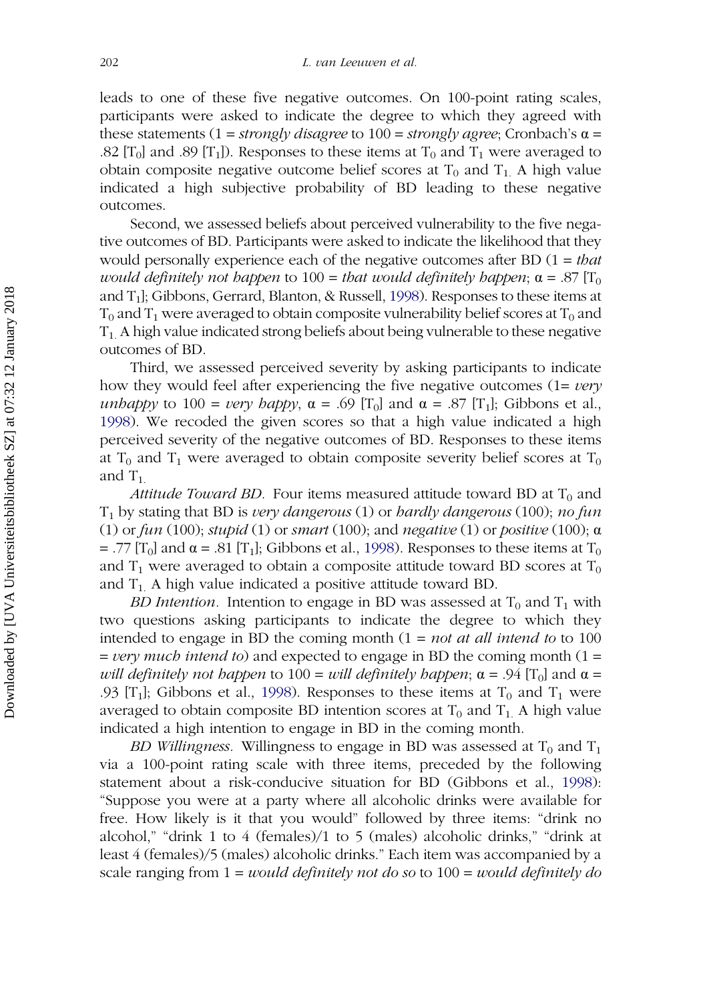leads to one of these five negative outcomes. On 100-point rating scales, participants were asked to indicate the degree to which they agreed with these statements  $(1 = strongly disagree to 100 = strongly agree; Cronbach's \alpha =$ .82 [T<sub>0</sub>] and .89 [T<sub>1</sub>]). Responses to these items at T<sub>0</sub> and T<sub>1</sub> were averaged to obtain composite negative outcome belief scores at  $T_0$  and  $T_1$ . A high value indicated a high subjective probability of BD leading to these negative outcomes.

Second, we assessed beliefs about perceived vulnerability to the five negative outcomes of BD. Participants were asked to indicate the likelihood that they would personally experience each of the negative outcomes after BD  $(1 = \text{that})$ would definitely not happen to 100 = that would definitely happen;  $\alpha = .87$  [T<sub>0</sub> and  $T_1$ ; Gibbons, Gerrard, Blanton, & Russell, [1998](#page-24-0)). Responses to these items at  $T_0$  and  $T_1$  were averaged to obtain composite vulnerability belief scores at  $T_0$  and  $T_1$ . A high value indicated strong beliefs about being vulnerable to these negative outcomes of BD.

Third, we assessed perceived severity by asking participants to indicate how they would feel after experiencing the five negative outcomes  $(1=very)$ unhappy to 100 = very happy,  $\alpha$  = .69 [T<sub>0</sub>] and  $\alpha$  = .87 [T<sub>1</sub>]; Gibbons et al., [1998\)](#page-24-0). We recoded the given scores so that a high value indicated a high perceived severity of the negative outcomes of BD. Responses to these items at T<sub>0</sub> and T<sub>1</sub> were averaged to obtain composite severity belief scores at T<sub>0</sub> and  $T_1$ .

*Attitude Toward BD.* Four items measured attitude toward BD at  $T_0$  and  $T_1$  by stating that BD is very dangerous (1) or hardly dangerous (100); no fun (1) or fun (100); stupid (1) or smart (100); and negative (1) or positive (100);  $\alpha$ = .77 [T<sub>0</sub>] and  $\alpha$  = .81 [T<sub>1</sub>]; Gibbons et al., [1998](#page-24-0)). Responses to these items at T<sub>0</sub> and  $T_1$  were averaged to obtain a composite attitude toward BD scores at  $T_0$ and  $T_1$ . A high value indicated a positive attitude toward BD.

BD Intention. Intention to engage in BD was assessed at  $T_0$  and  $T_1$  with two questions asking participants to indicate the degree to which they intended to engage in BD the coming month  $(1 = not at all intend to to 100$  $=$  *very much intend to*) and expected to engage in BD the coming month (1  $=$ will definitely not happen to 100 = will definitely happen;  $\alpha$  = .94 [T<sub>0</sub>] and  $\alpha$  = .93 [T<sub>1</sub>]; Gibbons et al., [1998](#page-24-0)). Responses to these items at T<sub>0</sub> and T<sub>1</sub> were averaged to obtain composite BD intention scores at  $T_0$  and  $T_1$ . A high value indicated a high intention to engage in BD in the coming month.

BD Willingness. Willingness to engage in BD was assessed at  $T_0$  and  $T_1$ via a 100-point rating scale with three items, preceded by the following statement about a risk-conducive situation for BD (Gibbons et al., [1998\)](#page-24-0): "Suppose you were at a party where all alcoholic drinks were available for free. How likely is it that you would" followed by three items: "drink no alcohol," "drink 1 to 4 (females)/1 to 5 (males) alcoholic drinks," "drink at least 4 (females)/5 (males) alcoholic drinks." Each item was accompanied by a scale ranging from  $1 = would$  definitely not do so to  $100 = would$  definitely do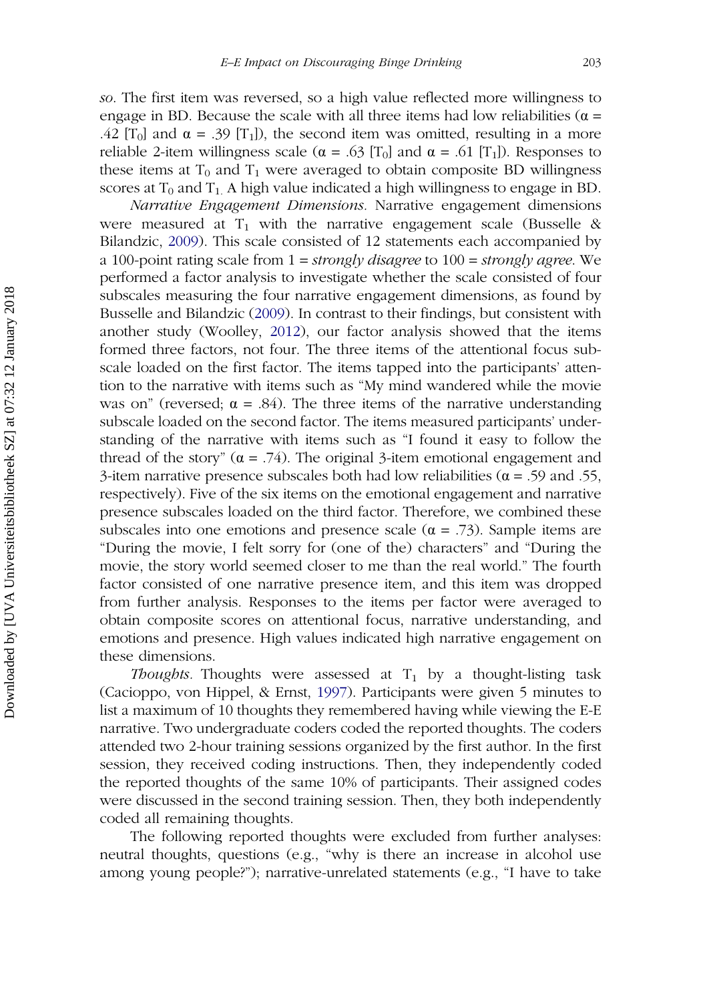so. The first item was reversed, so a high value reflected more willingness to engage in BD. Because the scale with all three items had low reliabilities ( $\alpha$  = .42 [T<sub>0</sub>] and  $\alpha$  = .39 [T<sub>1</sub>]), the second item was omitted, resulting in a more reliable 2-item willingness scale ( $\alpha$  = .63 [T<sub>0</sub>] and  $\alpha$  = .61 [T<sub>1</sub>]). Responses to these items at  $T_0$  and  $T_1$  were averaged to obtain composite BD willingness scores at  $T_0$  and  $T_1$ . A high value indicated a high willingness to engage in BD.

Narrative Engagement Dimensions. Narrative engagement dimensions were measured at  $T_1$  with the narrative engagement scale (Busselle & Bilandzic, [2009\)](#page-24-0). This scale consisted of 12 statements each accompanied by a 100-point rating scale from  $1 = strongly\,display$  disagree to  $100 = strongly\,display$  agree. We performed a factor analysis to investigate whether the scale consisted of four subscales measuring the four narrative engagement dimensions, as found by Busselle and Bilandzic ([2009\)](#page-24-0). In contrast to their findings, but consistent with another study (Woolley, [2012\)](#page-27-0), our factor analysis showed that the items formed three factors, not four. The three items of the attentional focus subscale loaded on the first factor. The items tapped into the participants' attention to the narrative with items such as "My mind wandered while the movie was on" (reversed;  $\alpha = .84$ ). The three items of the narrative understanding subscale loaded on the second factor. The items measured participants' understanding of the narrative with items such as "I found it easy to follow the thread of the story"  $(\alpha = .74)$ . The original 3-item emotional engagement and 3-item narrative presence subscales both had low reliabilities ( $\alpha$  = .59 and .55, respectively). Five of the six items on the emotional engagement and narrative presence subscales loaded on the third factor. Therefore, we combined these subscales into one emotions and presence scale ( $\alpha$  = .73). Sample items are "During the movie, I felt sorry for (one of the) characters" and "During the movie, the story world seemed closer to me than the real world." The fourth factor consisted of one narrative presence item, and this item was dropped from further analysis. Responses to the items per factor were averaged to obtain composite scores on attentional focus, narrative understanding, and emotions and presence. High values indicated high narrative engagement on these dimensions.

*Thoughts*. Thoughts were assessed at  $T_1$  by a thought-listing task (Cacioppo, von Hippel, & Ernst, [1997\)](#page-24-0). Participants were given 5 minutes to list a maximum of 10 thoughts they remembered having while viewing the E-E narrative. Two undergraduate coders coded the reported thoughts. The coders attended two 2-hour training sessions organized by the first author. In the first session, they received coding instructions. Then, they independently coded the reported thoughts of the same 10% of participants. Their assigned codes were discussed in the second training session. Then, they both independently coded all remaining thoughts.

The following reported thoughts were excluded from further analyses: neutral thoughts, questions (e.g., "why is there an increase in alcohol use among young people?"); narrative-unrelated statements (e.g., "I have to take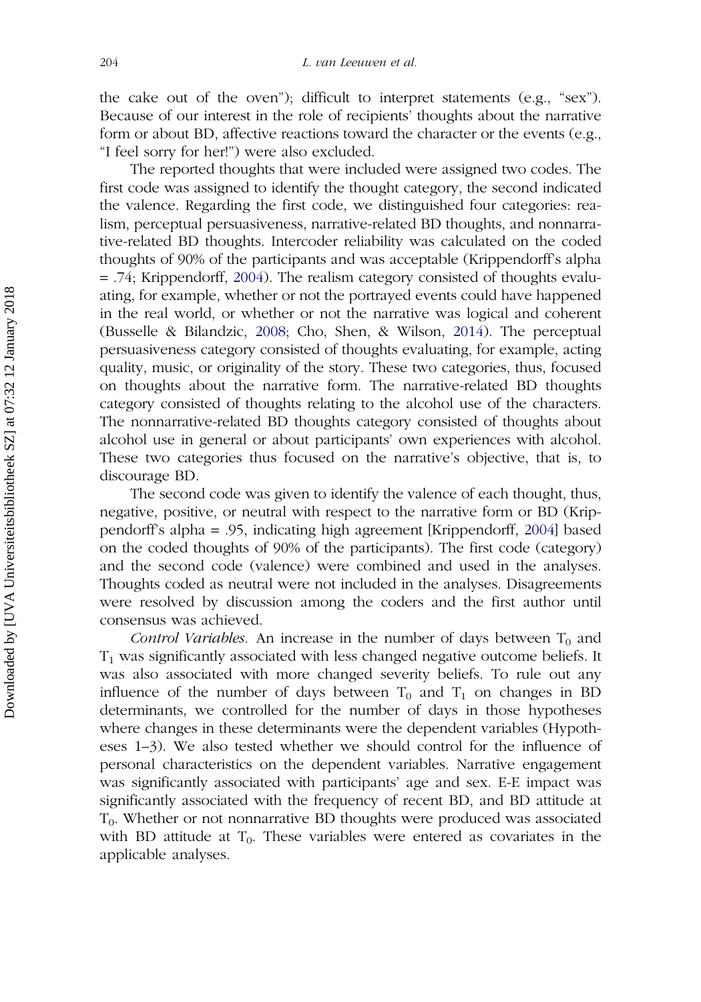the cake out of the oven"); difficult to interpret statements (e.g., "sex"). Because of our interest in the role of recipients' thoughts about the narrative form or about BD, affective reactions toward the character or the events (e.g., "I feel sorry for her!") were also excluded.

The reported thoughts that were included were assigned two codes. The first code was assigned to identify the thought category, the second indicated the valence. Regarding the first code, we distinguished four categories: realism, perceptual persuasiveness, narrative-related BD thoughts, and nonnarrative-related BD thoughts. Intercoder reliability was calculated on the coded thoughts of 90% of the participants and was acceptable (Krippendorff's alpha = .74; Krippendorff, [2004](#page-25-0)). The realism category consisted of thoughts evaluating, for example, whether or not the portrayed events could have happened in the real world, or whether or not the narrative was logical and coherent (Busselle & Bilandzic, [2008](#page-24-0); Cho, Shen, & Wilson, [2014\)](#page-24-0). The perceptual persuasiveness category consisted of thoughts evaluating, for example, acting quality, music, or originality of the story. These two categories, thus, focused on thoughts about the narrative form. The narrative-related BD thoughts category consisted of thoughts relating to the alcohol use of the characters. The nonnarrative-related BD thoughts category consisted of thoughts about alcohol use in general or about participants' own experiences with alcohol. These two categories thus focused on the narrative's objective, that is, to discourage BD.

The second code was given to identify the valence of each thought, thus, negative, positive, or neutral with respect to the narrative form or BD (Krippendorff's alpha = .95, indicating high agreement [Krippendorff, [2004\]](#page-25-0) based on the coded thoughts of 90% of the participants). The first code (category) and the second code (valence) were combined and used in the analyses. Thoughts coded as neutral were not included in the analyses. Disagreements were resolved by discussion among the coders and the first author until consensus was achieved.

Control Variables. An increase in the number of days between  $T_0$  and  $T_1$  was significantly associated with less changed negative outcome beliefs. It was also associated with more changed severity beliefs. To rule out any influence of the number of days between  $T_0$  and  $T_1$  on changes in BD determinants, we controlled for the number of days in those hypotheses where changes in these determinants were the dependent variables (Hypotheses 1–3). We also tested whether we should control for the influence of personal characteristics on the dependent variables. Narrative engagement was significantly associated with participants' age and sex. E-E impact was significantly associated with the frequency of recent BD, and BD attitude at  $T<sub>0</sub>$ . Whether or not nonnarrative BD thoughts were produced was associated with BD attitude at  $T_0$ . These variables were entered as covariates in the applicable analyses.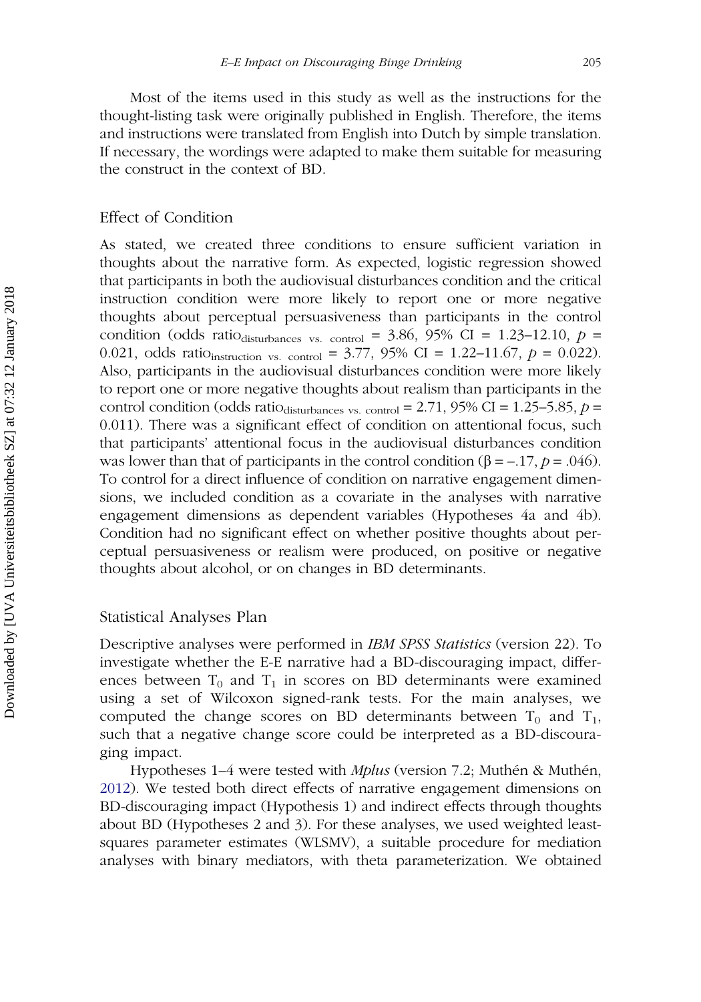Most of the items used in this study as well as the instructions for the thought-listing task were originally published in English. Therefore, the items and instructions were translated from English into Dutch by simple translation. If necessary, the wordings were adapted to make them suitable for measuring the construct in the context of BD.

## Effect of Condition

As stated, we created three conditions to ensure sufficient variation in thoughts about the narrative form. As expected, logistic regression showed that participants in both the audiovisual disturbances condition and the critical instruction condition were more likely to report one or more negative thoughts about perceptual persuasiveness than participants in the control condition (odds ratio<sub>disturbances vs. control</sub> = 3.86, 95% CI = 1.23–12.10,  $p =$ 0.021, odds ratio<sub>instruction vs. control</sub> = 3.77, 95% CI = 1.22–11.67,  $p = 0.022$ ). Also, participants in the audiovisual disturbances condition were more likely to report one or more negative thoughts about realism than participants in the control condition (odds ratio<sub>disturbances vs. control</sub> = 2.71, 95% CI = 1.25–5.85,  $p =$ 0.011). There was a significant effect of condition on attentional focus, such that participants' attentional focus in the audiovisual disturbances condition was lower than that of participants in the control condition ( $\beta = -17$ ,  $p = .046$ ). To control for a direct influence of condition on narrative engagement dimensions, we included condition as a covariate in the analyses with narrative engagement dimensions as dependent variables (Hypotheses 4a and 4b). Condition had no significant effect on whether positive thoughts about perceptual persuasiveness or realism were produced, on positive or negative thoughts about alcohol, or on changes in BD determinants.

# Statistical Analyses Plan

Descriptive analyses were performed in IBM SPSS Statistics (version 22). To investigate whether the E-E narrative had a BD-discouraging impact, differences between  $T_0$  and  $T_1$  in scores on BD determinants were examined using a set of Wilcoxon signed-rank tests. For the main analyses, we computed the change scores on BD determinants between  $T_0$  and  $T_1$ , such that a negative change score could be interpreted as a BD-discouraging impact.

Hypotheses 1–4 were tested with *Mplus* (version 7.2; Muthén & Muthén, [2012\)](#page-26-0). We tested both direct effects of narrative engagement dimensions on BD-discouraging impact (Hypothesis 1) and indirect effects through thoughts about BD (Hypotheses 2 and 3). For these analyses, we used weighted leastsquares parameter estimates (WLSMV), a suitable procedure for mediation analyses with binary mediators, with theta parameterization. We obtained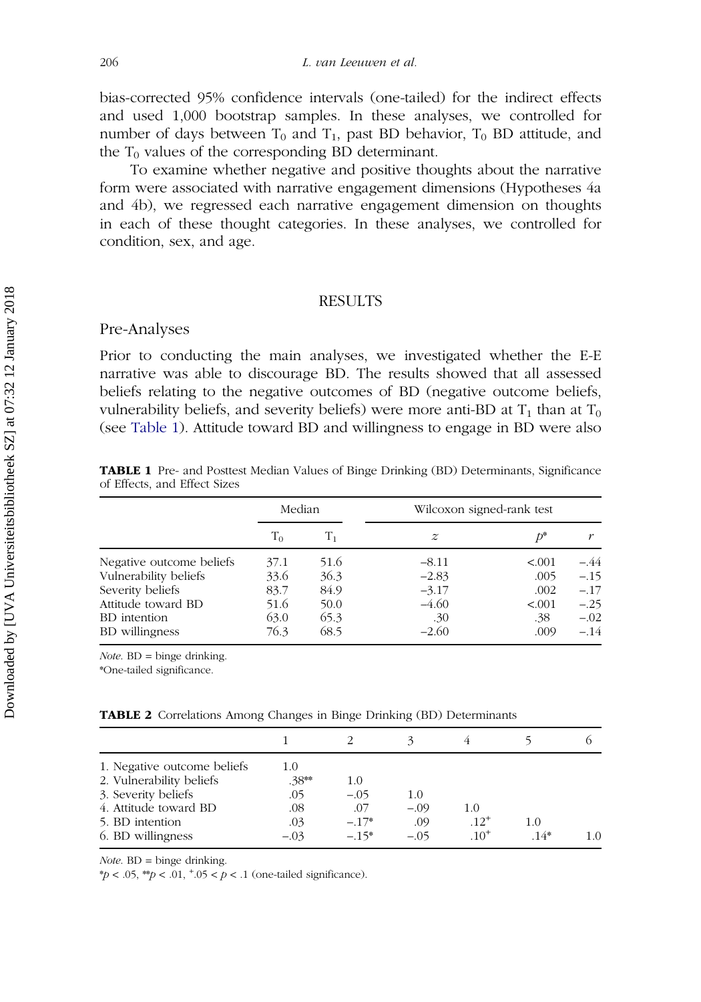<span id="page-13-0"></span>bias-corrected 95% confidence intervals (one-tailed) for the indirect effects and used 1,000 bootstrap samples. In these analyses, we controlled for number of days between  $T_0$  and  $T_1$ , past BD behavior,  $T_0$  BD attitude, and the  $T_0$  values of the corresponding BD determinant.

To examine whether negative and positive thoughts about the narrative form were associated with narrative engagement dimensions (Hypotheses 4a and 4b), we regressed each narrative engagement dimension on thoughts in each of these thought categories. In these analyses, we controlled for condition, sex, and age.

### RESULTS

### Pre-Analyses

Prior to conducting the main analyses, we investigated whether the E-E narrative was able to discourage BD. The results showed that all assessed beliefs relating to the negative outcomes of BD (negative outcome beliefs, vulnerability beliefs, and severity beliefs) were more anti-BD at  $T_1$  than at  $T_0$ (see Table 1). Attitude toward BD and willingness to engage in BD were also

| of Effects, and Effect Sizes |        |  |                           |
|------------------------------|--------|--|---------------------------|
|                              | Median |  | Wilcoxon signed-rank test |

TABLE 1 Pre- and Posttest Median Values of Binge Drinking (BD) Determinants, Significance

|                          | Median |                | Wilcoxon signed-rank test |         |        |
|--------------------------|--------|----------------|---------------------------|---------|--------|
|                          | $T_0$  | T <sub>1</sub> | $\boldsymbol{z}$          | ħ*      |        |
| Negative outcome beliefs | 37.1   | 51.6           | $-8.11$                   | < 0.001 | -.44   |
| Vulnerability beliefs    | 33.6   | 36.3           | $-2.83$                   | .005    | $-.15$ |
| Severity beliefs         | 83.7   | 84.9           | $-3.17$                   | .002    | $-.17$ |
| Attitude toward BD       | 51.6   | 50.0           | $-4.60$                   | < 0.001 | $-.25$ |
| BD intention             | 63.0   | 65.3           | .30                       | .38     | $-.02$ |
| BD willingness           | 76.3   | 68.5           | $-2.60$                   | .009    | $-.14$ |

 $Note. BD = binge$  drinking.

\*One-tailed significance.

| TABLE 2 Correlations Among Changes in Binge Drinking (BD) Determinants |  |  |  |  |
|------------------------------------------------------------------------|--|--|--|--|
|                                                                        |  |  |  |  |

| 1. Negative outcome beliefs | 1.0     |         |        |           |        |     |
|-----------------------------|---------|---------|--------|-----------|--------|-----|
| 2. Vulnerability beliefs    | $.38**$ | 1.0     |        |           |        |     |
| 3. Severity beliefs         | .05     | $-.05$  | 1.0    |           |        |     |
| 4. Attitude toward BD       | .08     | .07     | $-.09$ | 1.0       |        |     |
| 5. BD intention             | .03     | $-.17*$ | .09    | $.12^{+}$ | 1.0    |     |
| 6. BD willingness           | $-.03$  | $-.15*$ | $-.05$ | $10^{+}$  | $.14*$ | 1.0 |

 $Note. BD = binge$  drinking.

\*p < .05, \*\*p < .01,  $^{\ast}$ .05 < p < .1 (one-tailed significance).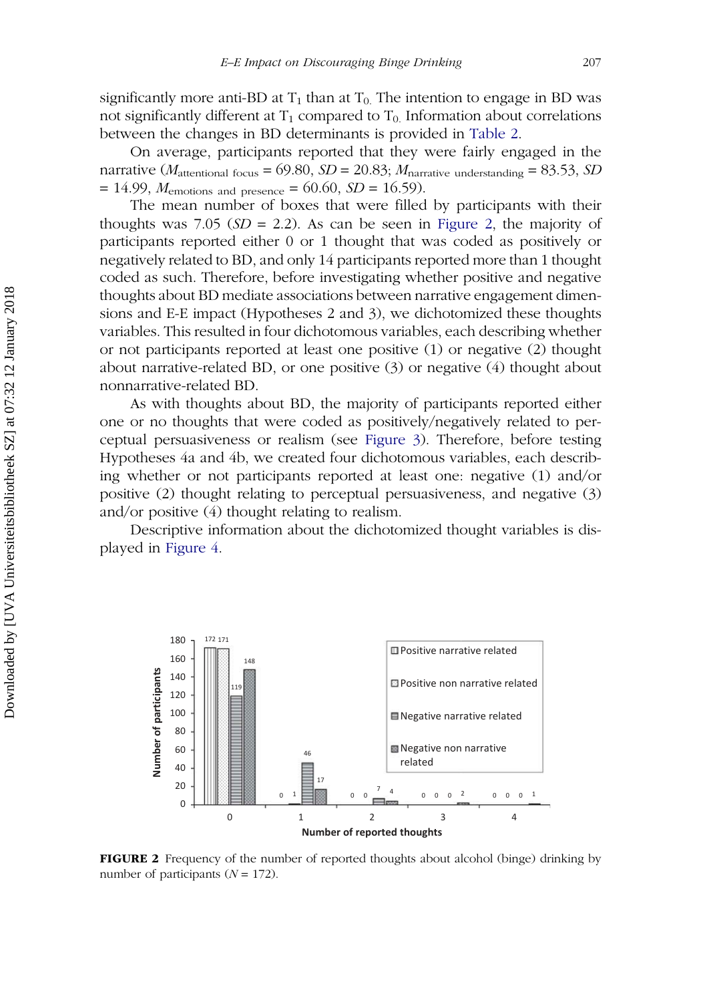<span id="page-14-0"></span>significantly more anti-BD at  $T_1$  than at  $T_0$ . The intention to engage in BD was not significantly different at  $T_1$  compared to  $T_0$ . Information about correlations between the changes in BD determinants is provided in [Table 2.](#page-13-0)

On average, participants reported that they were fairly engaged in the narrative ( $M_{\text{attentional focus}} = 69.80$ ,  $SD = 20.83$ ;  $M_{\text{narrative understanding}} = 83.53$ ,  $SD$  $= 14.99, M_{\text{emotions and presence}} = 60.60, SD = 16.59.$ 

The mean number of boxes that were filled by participants with their thoughts was 7.05 ( $SD = 2.2$ ). As can be seen in Figure 2, the majority of participants reported either 0 or 1 thought that was coded as positively or negatively related to BD, and only 14 participants reported more than 1 thought coded as such. Therefore, before investigating whether positive and negative thoughts about BD mediate associations between narrative engagement dimensions and E-E impact (Hypotheses 2 and 3), we dichotomized these thoughts variables. This resulted in four dichotomous variables, each describing whether or not participants reported at least one positive (1) or negative (2) thought about narrative-related BD, or one positive (3) or negative (4) thought about nonnarrative-related BD.

As with thoughts about BD, the majority of participants reported either one or no thoughts that were coded as positively/negatively related to perceptual persuasiveness or realism (see Figure 3). Therefore, before testing Hypotheses 4a and 4b, we created four dichotomous variables, each describing whether or not participants reported at least one: negative (1) and/or positive (2) thought relating to perceptual persuasiveness, and negative (3) and/or positive (4) thought relating to realism.

Descriptive information about the dichotomized thought variables is displayed in [Figure 4](#page-16-0).



FIGURE 2 Frequency of the number of reported thoughts about alcohol (binge) drinking by number of participants  $(N = 172)$ .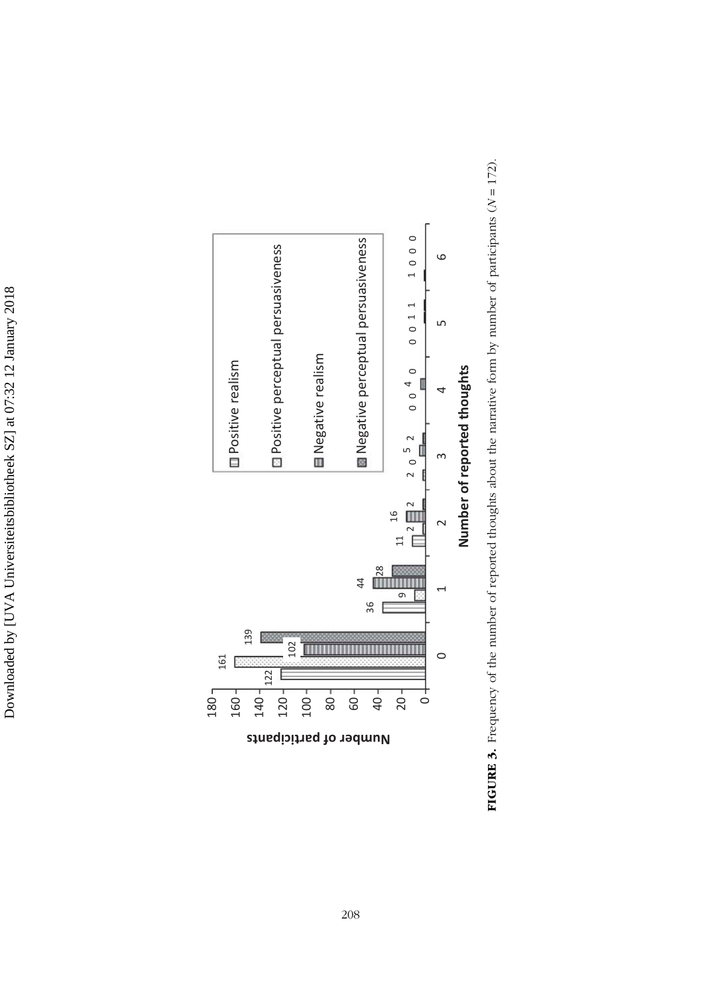

**FIGURE 3.** Frequency of the number of reported thoughts about the narrative form by number of participants ( $N = 172$ ). **FIGURE 3.** Frequency of the number of reported thoughts about the narrative form by number of participants  $(N = 172)$ .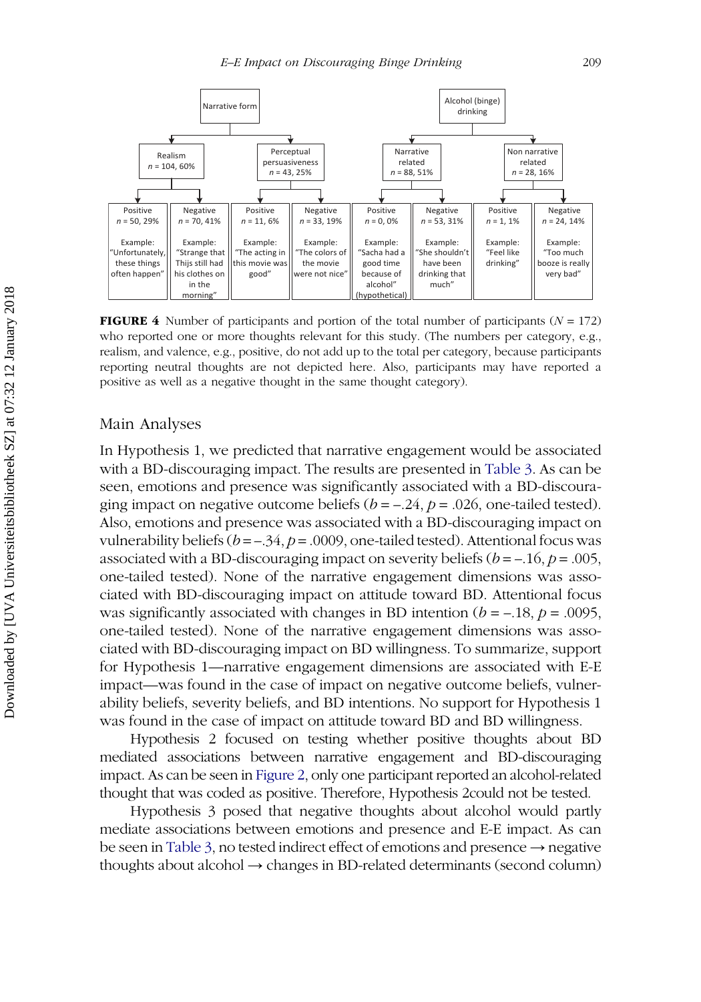<span id="page-16-0"></span>

**FIGURE 4** Number of participants and portion of the total number of participants ( $N = 172$ ) who reported one or more thoughts relevant for this study. (The numbers per category, e.g., realism, and valence, e.g., positive, do not add up to the total per category, because participants reporting neutral thoughts are not depicted here. Also, participants may have reported a positive as well as a negative thought in the same thought category).

# Main Analyses

In Hypothesis 1, we predicted that narrative engagement would be associated with a BD-discouraging impact. The results are presented in [Table 3.](#page-17-0) As can be seen, emotions and presence was significantly associated with a BD-discouraging impact on negative outcome beliefs  $(b = -0.24, p = 0.026)$ , one-tailed tested). Also, emotions and presence was associated with a BD-discouraging impact on vulnerability beliefs ( $b = -0.34$ ,  $p = 0.000$ ), one-tailed tested). Attentional focus was associated with a BD-discouraging impact on severity beliefs  $(b = -16, p = .005,$ one-tailed tested). None of the narrative engagement dimensions was associated with BD-discouraging impact on attitude toward BD. Attentional focus was significantly associated with changes in BD intention ( $b = -.18$ ,  $p = .0095$ , one-tailed tested). None of the narrative engagement dimensions was associated with BD-discouraging impact on BD willingness. To summarize, support for Hypothesis 1—narrative engagement dimensions are associated with E-E impact—was found in the case of impact on negative outcome beliefs, vulnerability beliefs, severity beliefs, and BD intentions. No support for Hypothesis 1 was found in the case of impact on attitude toward BD and BD willingness.

Hypothesis 2 focused on testing whether positive thoughts about BD mediated associations between narrative engagement and BD-discouraging impact. As can be seen in [Figure 2](#page-14-0), only one participant reported an alcohol-related thought that was coded as positive. Therefore, Hypothesis 2could not be tested.

Hypothesis 3 posed that negative thoughts about alcohol would partly mediate associations between emotions and presence and E-E impact. As can be seen in [Table 3](#page-17-0), no tested indirect effect of emotions and presence → negative thoughts about alcohol → changes in BD-related determinants (second column)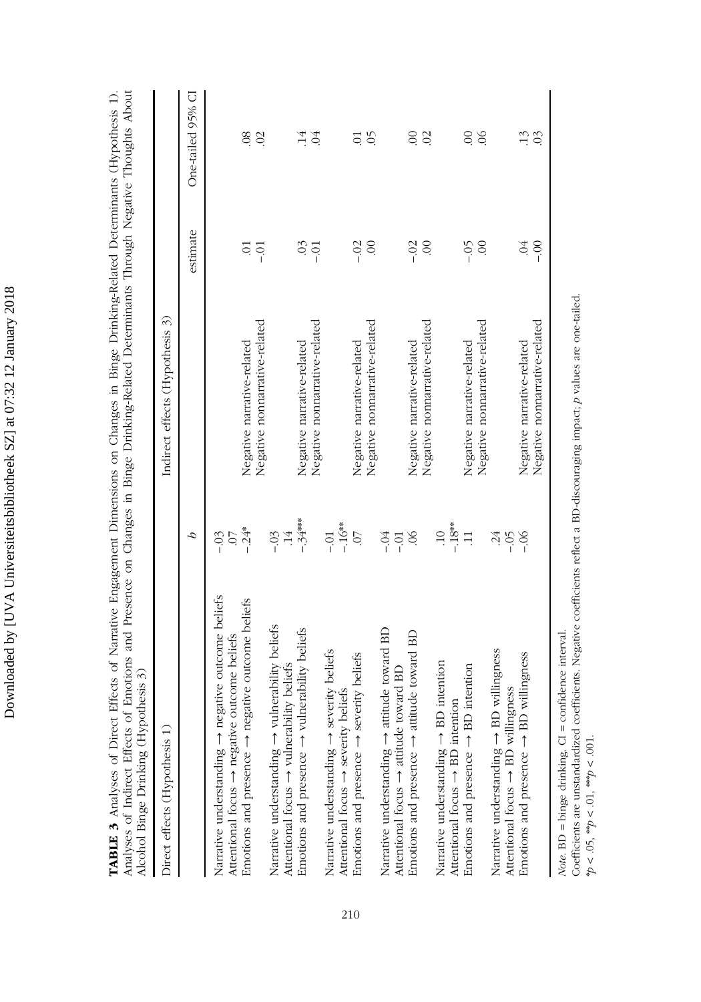| ֧֡֓֓֓֓֓֓֓֓֓֓֓֓֓֓׆֓ |
|--------------------|
|                    |
|                    |
|                    |
|                    |
|                    |
|                    |
|                    |
|                    |
|                    |
|                    |
|                    |
|                    |
|                    |
|                    |
|                    |
|                    |
| ֕                  |
|                    |
|                    |
|                    |
|                    |
| l                  |
| I                  |
|                    |
|                    |
|                    |
| <br> <br>          |
|                    |
| l                  |
|                    |
|                    |
|                    |
|                    |
|                    |
|                    |
|                    |
|                    |
|                    |
|                    |
|                    |
|                    |
| ļ                  |
|                    |

<span id="page-17-0"></span>TABLE 3 Analyses of Direct Effects of Narrative Engagement Dimensions on Changes in Binge Drinking-Related Determinants (Hypothesis 1).<br>Analyses of Indirect Effects of Emotions and Presence on Changes in Binge Drinking-Rel Analyses of Indirect Effects of Emotions and Presence on Changes in Binge Drinking-Related Determinants Through Negative Thoughts About TABLE 3 Analyses of Direct Effects of Narrative Engagement Dimensions on Changes in Binge Drinking-Related Determinants (Hypothesis 1). Alcohol Binge Drinking (Hypothesis 3) Alcohol Binge Drinking (Hypothesis 3)

| Direct effects (Hypothesis 1)                                                                                                                    | Indirect effects (Hypothesis 3) |                           |                   |
|--------------------------------------------------------------------------------------------------------------------------------------------------|---------------------------------|---------------------------|-------------------|
| S                                                                                                                                                |                                 | estimate                  | One-tailed 95% CI |
| $\overline{0}$ .<br>Narrative understanding $\rightarrow$ negative outcome beliefs<br>Attentional focus $\rightarrow$ negative outcome beliefs   |                                 |                           |                   |
| $-.24*$<br>Emotions and presence $\rightarrow$ negative outcome beliefs                                                                          | Negative narrative-related      | $\overline{0}$ .          | 08                |
|                                                                                                                                                  | Negative nonnarrative-related   | $-0.01$                   | $\mathcal{O}$     |
| $\overline{14}$<br>$-03$<br>Narrative understanding $\rightarrow$ vulnerability beliefs<br>Attentional focus $\rightarrow$ vulnerability beliefs |                                 |                           |                   |
| $-34***$<br>Emotions and presence $\rightarrow$ vulnerability beliefs                                                                            | Negative narrative-related      | $\overline{0}$            | $\frac{14}{5}$    |
|                                                                                                                                                  | Negative nonnarrative-related   | $-0$                      | $\Im$             |
| $-0.1$<br>Narrative understanding $\rightarrow$ severity beliefs                                                                                 |                                 |                           |                   |
| $-.16**$<br>Attentional focus $\rightarrow$ severity beliefs                                                                                     |                                 |                           |                   |
| $\overline{C}$<br>Emotions and presence $\rightarrow$ severity beliefs                                                                           | Negative narrative-related      | $-0.02$                   | $\overline{C}$    |
|                                                                                                                                                  | Negative nonnarrative-related   | $\odot$                   | $\widetilde{6}$   |
| $-0.4$<br>Narrative understanding $\rightarrow$ attitude toward BD                                                                               |                                 |                           |                   |
| $-0$<br>Attentional focus $\rightarrow$ attitude toward BD                                                                                       |                                 |                           |                   |
| $\infty$<br>Emotions and presence $\rightarrow$ attitude toward BD                                                                               | Negative narrative-related      | $-0.02$                   | $\infty$          |
|                                                                                                                                                  | Negative nonnarrative-related   | $\odot$                   | $\odot$           |
| $\overline{10}$<br><i>intention</i><br>Narrative understanding $\rightarrow$ BD                                                                  |                                 |                           |                   |
| $-18**$<br>Attentional focus $\rightarrow$ BD intention                                                                                          |                                 |                           |                   |
| $\Xi$<br>intention<br>Emotions and presence $\rightarrow$ BD                                                                                     | Negative narrative-related      | $-0.5$                    | $\odot$           |
|                                                                                                                                                  | Negative nonnarrative-related   | $\circ$                   | $\infty$          |
| $-0.05$<br>Narrative understanding $\rightarrow$ BD willingness                                                                                  |                                 |                           |                   |
| Attentional focus $\rightarrow$ BD willingness                                                                                                   |                                 |                           |                   |
| $-06$<br>willingness<br>Emotions and presence $\rightarrow$ BD                                                                                   | Negative narrative-related      | $\widetilde{\varepsilon}$ | $\ddot{1}$        |
|                                                                                                                                                  | Negative nonnarrative-related   | $-00 -$                   | 0 <sup>3</sup>    |
|                                                                                                                                                  |                                 |                           |                   |

Note.  $BD = binge$  drinking.  $CI = confidence$  interval. Note. BD = binge drinking. CI = confidence interval.

Coefficients are unstandardized coefficients. Negative coefficients reflect a BD-discouraging impact, p values are one-tailed. Coefficients are unstandardized coefficients. Negative coefficients reflect a BD-discouraging impact; p values are one-tailed.  $*p < .05$ ,  $*p < .01$ ,  $*^{*p}p < .001$ .  $*p < .05$ ,  $*p < .01$ ,  $*^{*p}p < .001$ .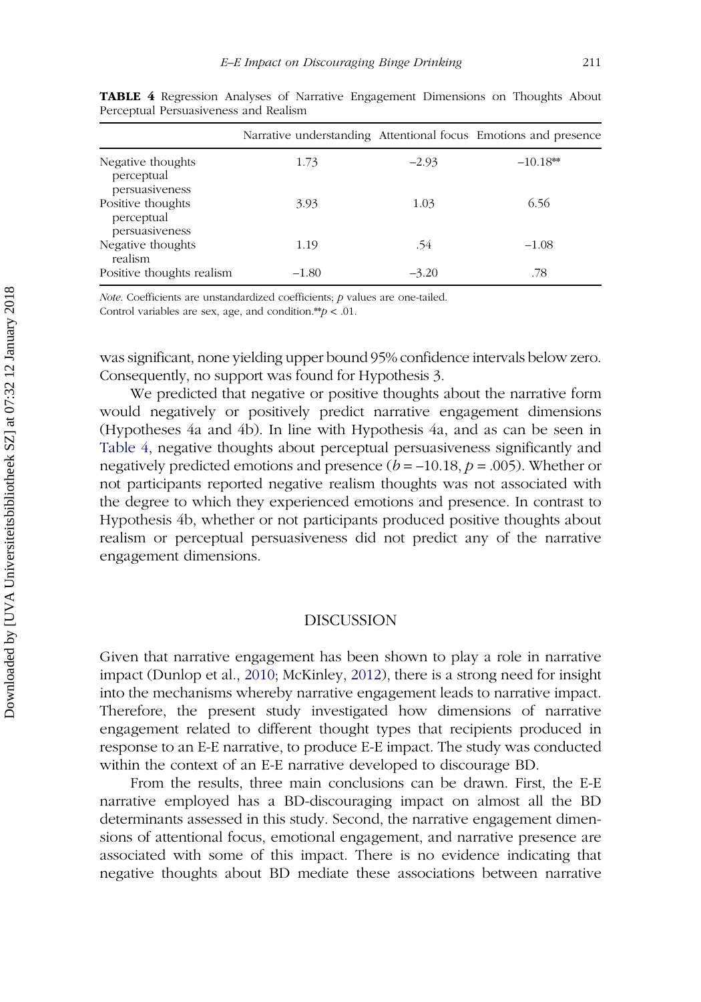|                                                   | Narrative understanding Attentional focus Emotions and presence |         |            |
|---------------------------------------------------|-----------------------------------------------------------------|---------|------------|
| Negative thoughts<br>perceptual<br>persuasiveness | 1.73                                                            | $-2.93$ | $-10.18**$ |
| Positive thoughts<br>perceptual<br>persuasiveness | 3.93                                                            | 1.03    | 6.56       |
| Negative thoughts<br>realism                      | 1.19                                                            | .54     | $-1.08$    |
| Positive thoughts realism                         | $-1.80$                                                         | $-3.20$ | .78        |

TABLE 4 Regression Analyses of Narrative Engagement Dimensions on Thoughts About Perceptual Persuasiveness and Realism

Note. Coefficients are unstandardized coefficients; p values are one-tailed. Control variables are sex, age, and condition.\*\* $p < .01$ .

was significant, none yielding upper bound 95% confidence intervals below zero. Consequently, no support was found for Hypothesis 3.

We predicted that negative or positive thoughts about the narrative form would negatively or positively predict narrative engagement dimensions (Hypotheses 4a and 4b). In line with Hypothesis 4a, and as can be seen in Table 4, negative thoughts about perceptual persuasiveness significantly and negatively predicted emotions and presence  $(b = -10.18, p = .005)$ . Whether or not participants reported negative realism thoughts was not associated with the degree to which they experienced emotions and presence. In contrast to Hypothesis 4b, whether or not participants produced positive thoughts about realism or perceptual persuasiveness did not predict any of the narrative engagement dimensions.

#### DISCUSSION

Given that narrative engagement has been shown to play a role in narrative impact (Dunlop et al., [2010;](#page-24-0) McKinley, [2012](#page-25-0)), there is a strong need for insight into the mechanisms whereby narrative engagement leads to narrative impact. Therefore, the present study investigated how dimensions of narrative engagement related to different thought types that recipients produced in response to an E-E narrative, to produce E-E impact. The study was conducted within the context of an E-E narrative developed to discourage BD.

From the results, three main conclusions can be drawn. First, the E-E narrative employed has a BD-discouraging impact on almost all the BD determinants assessed in this study. Second, the narrative engagement dimensions of attentional focus, emotional engagement, and narrative presence are associated with some of this impact. There is no evidence indicating that negative thoughts about BD mediate these associations between narrative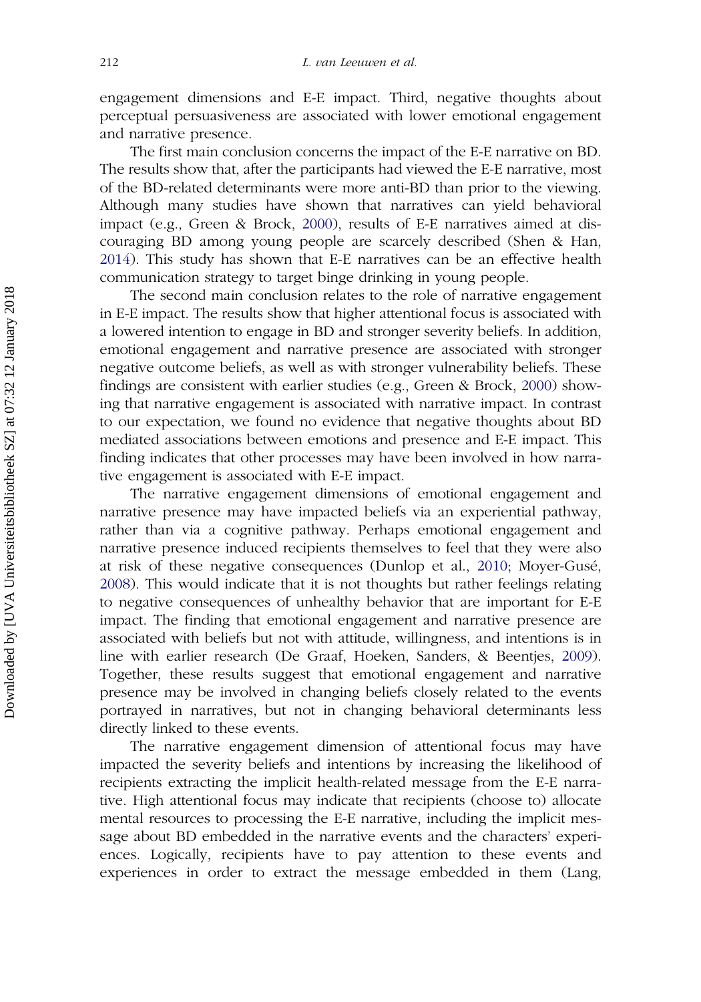engagement dimensions and E-E impact. Third, negative thoughts about perceptual persuasiveness are associated with lower emotional engagement and narrative presence.

The first main conclusion concerns the impact of the E-E narrative on BD. The results show that, after the participants had viewed the E-E narrative, most of the BD-related determinants were more anti-BD than prior to the viewing. Although many studies have shown that narratives can yield behavioral impact (e.g., Green & Brock, [2000](#page-25-0)), results of E-E narratives aimed at discouraging BD among young people are scarcely described (Shen & Han, [2014\)](#page-26-0). This study has shown that E-E narratives can be an effective health communication strategy to target binge drinking in young people.

The second main conclusion relates to the role of narrative engagement in E-E impact. The results show that higher attentional focus is associated with a lowered intention to engage in BD and stronger severity beliefs. In addition, emotional engagement and narrative presence are associated with stronger negative outcome beliefs, as well as with stronger vulnerability beliefs. These findings are consistent with earlier studies (e.g., Green & Brock, [2000\)](#page-25-0) showing that narrative engagement is associated with narrative impact. In contrast to our expectation, we found no evidence that negative thoughts about BD mediated associations between emotions and presence and E-E impact. This finding indicates that other processes may have been involved in how narrative engagement is associated with E-E impact.

The narrative engagement dimensions of emotional engagement and narrative presence may have impacted beliefs via an experiential pathway, rather than via a cognitive pathway. Perhaps emotional engagement and narrative presence induced recipients themselves to feel that they were also at risk of these negative consequences (Dunlop et al., [2010;](#page-24-0) Moyer-Gusé, [2008\)](#page-26-0). This would indicate that it is not thoughts but rather feelings relating to negative consequences of unhealthy behavior that are important for E-E impact. The finding that emotional engagement and narrative presence are associated with beliefs but not with attitude, willingness, and intentions is in line with earlier research (De Graaf, Hoeken, Sanders, & Beentjes, [2009\)](#page-24-0). Together, these results suggest that emotional engagement and narrative presence may be involved in changing beliefs closely related to the events portrayed in narratives, but not in changing behavioral determinants less directly linked to these events.

The narrative engagement dimension of attentional focus may have impacted the severity beliefs and intentions by increasing the likelihood of recipients extracting the implicit health-related message from the E-E narrative. High attentional focus may indicate that recipients (choose to) allocate mental resources to processing the E-E narrative, including the implicit message about BD embedded in the narrative events and the characters' experiences. Logically, recipients have to pay attention to these events and experiences in order to extract the message embedded in them (Lang,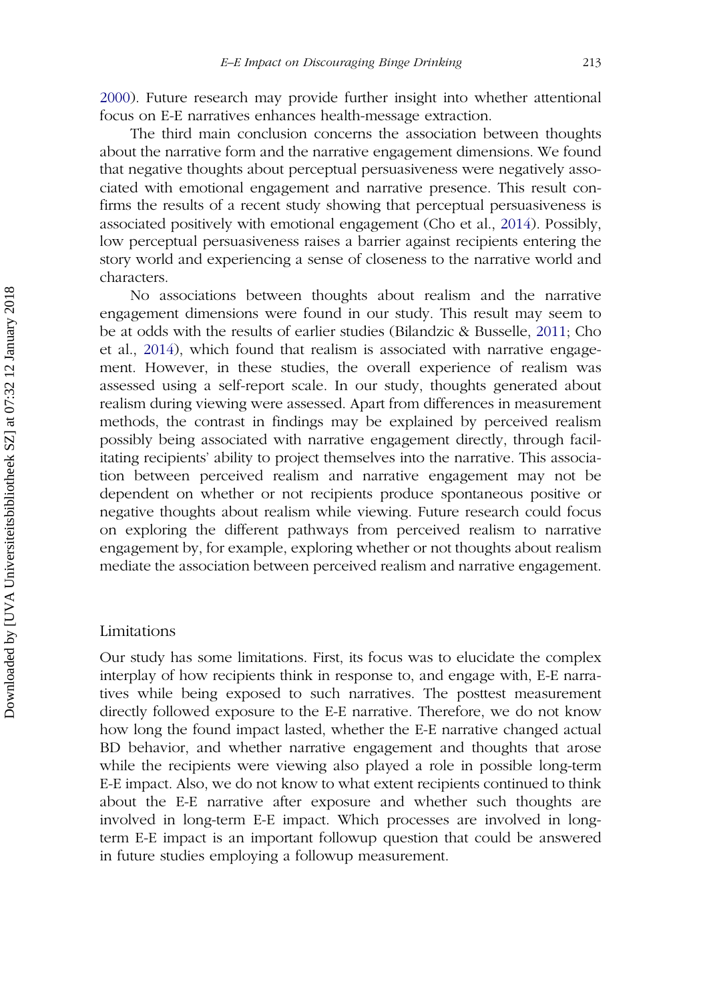[2000\)](#page-25-0). Future research may provide further insight into whether attentional focus on E-E narratives enhances health-message extraction.

The third main conclusion concerns the association between thoughts about the narrative form and the narrative engagement dimensions. We found that negative thoughts about perceptual persuasiveness were negatively associated with emotional engagement and narrative presence. This result confirms the results of a recent study showing that perceptual persuasiveness is associated positively with emotional engagement (Cho et al., [2014\)](#page-24-0). Possibly, low perceptual persuasiveness raises a barrier against recipients entering the story world and experiencing a sense of closeness to the narrative world and characters.

No associations between thoughts about realism and the narrative engagement dimensions were found in our study. This result may seem to be at odds with the results of earlier studies (Bilandzic & Busselle, [2011](#page-23-0); Cho et al., [2014](#page-24-0)), which found that realism is associated with narrative engagement. However, in these studies, the overall experience of realism was assessed using a self-report scale. In our study, thoughts generated about realism during viewing were assessed. Apart from differences in measurement methods, the contrast in findings may be explained by perceived realism possibly being associated with narrative engagement directly, through facilitating recipients' ability to project themselves into the narrative. This association between perceived realism and narrative engagement may not be dependent on whether or not recipients produce spontaneous positive or negative thoughts about realism while viewing. Future research could focus on exploring the different pathways from perceived realism to narrative engagement by, for example, exploring whether or not thoughts about realism mediate the association between perceived realism and narrative engagement.

#### Limitations

Our study has some limitations. First, its focus was to elucidate the complex interplay of how recipients think in response to, and engage with, E-E narratives while being exposed to such narratives. The posttest measurement directly followed exposure to the E-E narrative. Therefore, we do not know how long the found impact lasted, whether the E-E narrative changed actual BD behavior, and whether narrative engagement and thoughts that arose while the recipients were viewing also played a role in possible long-term E-E impact. Also, we do not know to what extent recipients continued to think about the E-E narrative after exposure and whether such thoughts are involved in long-term E-E impact. Which processes are involved in longterm E-E impact is an important followup question that could be answered in future studies employing a followup measurement.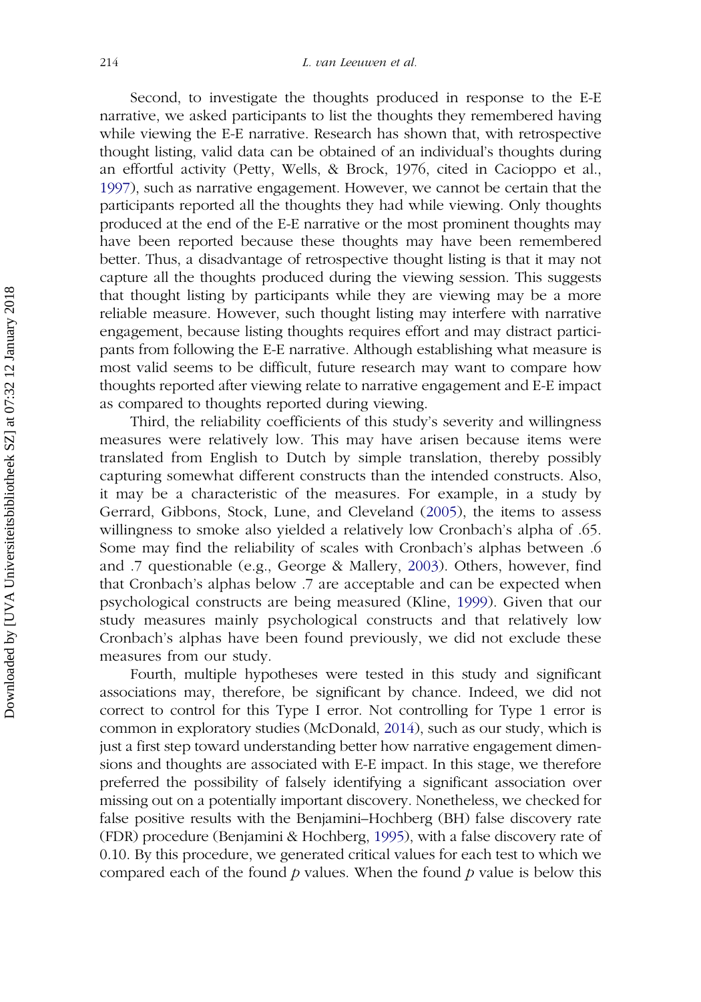Second, to investigate the thoughts produced in response to the E-E narrative, we asked participants to list the thoughts they remembered having while viewing the E-E narrative. Research has shown that, with retrospective thought listing, valid data can be obtained of an individual's thoughts during an effortful activity (Petty, Wells, & Brock, 1976, cited in Cacioppo et al., [1997\)](#page-24-0), such as narrative engagement. However, we cannot be certain that the participants reported all the thoughts they had while viewing. Only thoughts produced at the end of the E-E narrative or the most prominent thoughts may have been reported because these thoughts may have been remembered better. Thus, a disadvantage of retrospective thought listing is that it may not capture all the thoughts produced during the viewing session. This suggests that thought listing by participants while they are viewing may be a more reliable measure. However, such thought listing may interfere with narrative engagement, because listing thoughts requires effort and may distract participants from following the E-E narrative. Although establishing what measure is most valid seems to be difficult, future research may want to compare how thoughts reported after viewing relate to narrative engagement and E-E impact as compared to thoughts reported during viewing.

Third, the reliability coefficients of this study's severity and willingness measures were relatively low. This may have arisen because items were translated from English to Dutch by simple translation, thereby possibly capturing somewhat different constructs than the intended constructs. Also, it may be a characteristic of the measures. For example, in a study by Gerrard, Gibbons, Stock, Lune, and Cleveland [\(2005\)](#page-24-0), the items to assess willingness to smoke also yielded a relatively low Cronbach's alpha of .65. Some may find the reliability of scales with Cronbach's alphas between .6 and .7 questionable (e.g., George & Mallery, [2003](#page-24-0)). Others, however, find that Cronbach's alphas below .7 are acceptable and can be expected when psychological constructs are being measured (Kline, [1999\)](#page-25-0). Given that our study measures mainly psychological constructs and that relatively low Cronbach's alphas have been found previously, we did not exclude these measures from our study.

Fourth, multiple hypotheses were tested in this study and significant associations may, therefore, be significant by chance. Indeed, we did not correct to control for this Type I error. Not controlling for Type 1 error is common in exploratory studies (McDonald, [2014\)](#page-25-0), such as our study, which is just a first step toward understanding better how narrative engagement dimensions and thoughts are associated with E-E impact. In this stage, we therefore preferred the possibility of falsely identifying a significant association over missing out on a potentially important discovery. Nonetheless, we checked for false positive results with the Benjamini–Hochberg (BH) false discovery rate (FDR) procedure (Benjamini & Hochberg, [1995\)](#page-23-0), with a false discovery rate of 0.10. By this procedure, we generated critical values for each test to which we compared each of the found  $p$  values. When the found  $p$  value is below this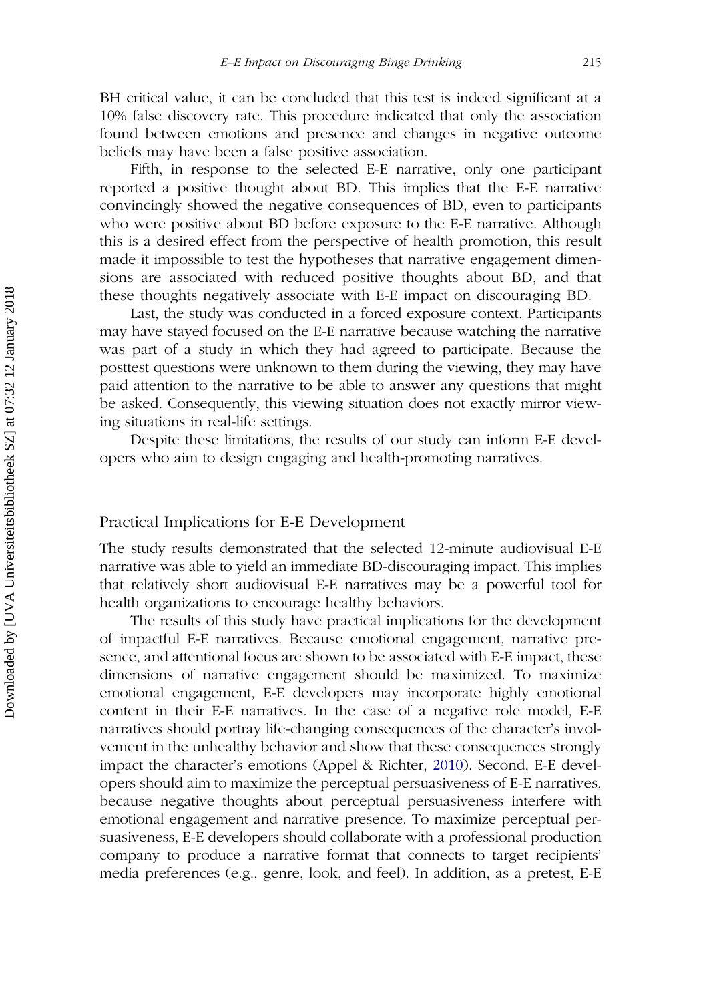BH critical value, it can be concluded that this test is indeed significant at a 10% false discovery rate. This procedure indicated that only the association found between emotions and presence and changes in negative outcome beliefs may have been a false positive association.

Fifth, in response to the selected E-E narrative, only one participant reported a positive thought about BD. This implies that the E-E narrative convincingly showed the negative consequences of BD, even to participants who were positive about BD before exposure to the E-E narrative. Although this is a desired effect from the perspective of health promotion, this result made it impossible to test the hypotheses that narrative engagement dimensions are associated with reduced positive thoughts about BD, and that these thoughts negatively associate with E-E impact on discouraging BD.

Last, the study was conducted in a forced exposure context. Participants may have stayed focused on the E-E narrative because watching the narrative was part of a study in which they had agreed to participate. Because the posttest questions were unknown to them during the viewing, they may have paid attention to the narrative to be able to answer any questions that might be asked. Consequently, this viewing situation does not exactly mirror viewing situations in real-life settings.

Despite these limitations, the results of our study can inform E-E developers who aim to design engaging and health-promoting narratives.

## Practical Implications for E-E Development

The study results demonstrated that the selected 12-minute audiovisual E-E narrative was able to yield an immediate BD-discouraging impact. This implies that relatively short audiovisual E-E narratives may be a powerful tool for health organizations to encourage healthy behaviors.

The results of this study have practical implications for the development of impactful E-E narratives. Because emotional engagement, narrative presence, and attentional focus are shown to be associated with E-E impact, these dimensions of narrative engagement should be maximized. To maximize emotional engagement, E-E developers may incorporate highly emotional content in their E-E narratives. In the case of a negative role model, E-E narratives should portray life-changing consequences of the character's involvement in the unhealthy behavior and show that these consequences strongly impact the character's emotions (Appel & Richter, [2010](#page-23-0)). Second, E-E developers should aim to maximize the perceptual persuasiveness of E-E narratives, because negative thoughts about perceptual persuasiveness interfere with emotional engagement and narrative presence. To maximize perceptual persuasiveness, E-E developers should collaborate with a professional production company to produce a narrative format that connects to target recipients' media preferences (e.g., genre, look, and feel). In addition, as a pretest, E-E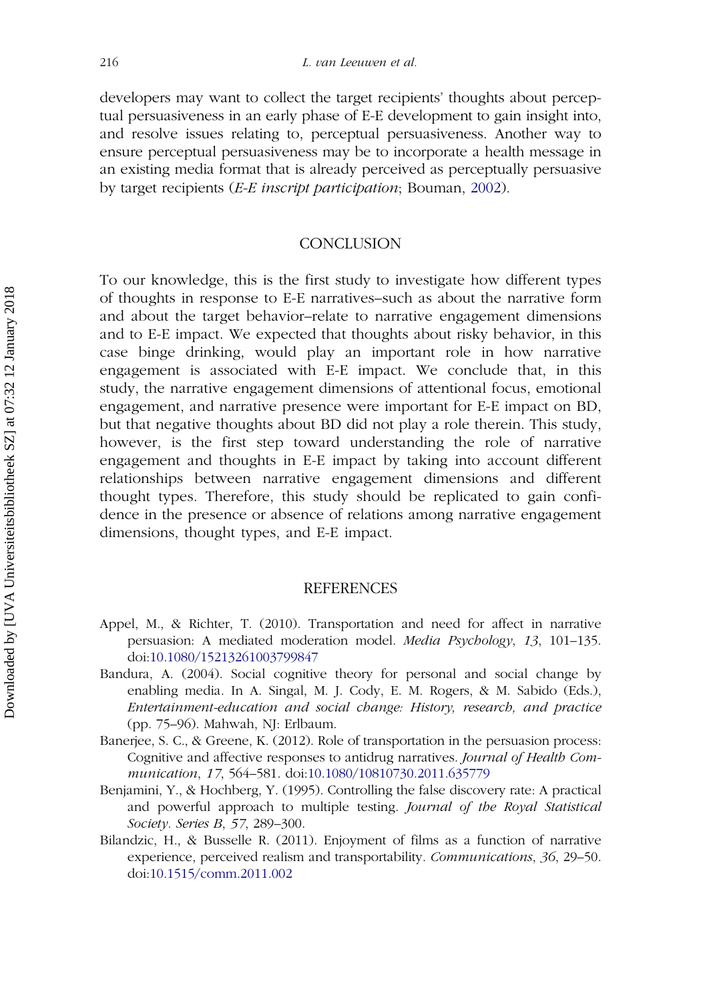<span id="page-23-0"></span>developers may want to collect the target recipients' thoughts about perceptual persuasiveness in an early phase of E-E development to gain insight into, and resolve issues relating to, perceptual persuasiveness. Another way to ensure perceptual persuasiveness may be to incorporate a health message in an existing media format that is already perceived as perceptually persuasive by target recipients (E-E inscript participation; Bouman, [2002](#page-24-0)).

#### **CONCLUSION**

To our knowledge, this is the first study to investigate how different types of thoughts in response to E-E narratives–such as about the narrative form and about the target behavior–relate to narrative engagement dimensions and to E-E impact. We expected that thoughts about risky behavior, in this case binge drinking, would play an important role in how narrative engagement is associated with E-E impact. We conclude that, in this study, the narrative engagement dimensions of attentional focus, emotional engagement, and narrative presence were important for E-E impact on BD, but that negative thoughts about BD did not play a role therein. This study, however, is the first step toward understanding the role of narrative engagement and thoughts in E-E impact by taking into account different relationships between narrative engagement dimensions and different thought types. Therefore, this study should be replicated to gain confidence in the presence or absence of relations among narrative engagement dimensions, thought types, and E-E impact.

#### REFERENCES

- Appel, M., & Richter, T. (2010). Transportation and need for affect in narrative persuasion: A mediated moderation model. Media Psychology, 13, 101–135. doi:[10.1080/15213261003799847](http://dx.doi.org/10.1080/15213261003799847)
- Bandura, A. (2004). Social cognitive theory for personal and social change by enabling media. In A. Singal, M. J. Cody, E. M. Rogers, & M. Sabido (Eds.), Entertainment-education and social change: History, research, and practice (pp. 75–96). Mahwah, NJ: Erlbaum.
- Banerjee, S. C., & Greene, K. (2012). Role of transportation in the persuasion process: Cognitive and affective responses to antidrug narratives. Journal of Health Communication, 17, 564–581. doi:[10.1080/10810730.2011.635779](http://dx.doi.org/10.1080/10810730.2011.635779)
- Benjamini, Y., & Hochberg, Y. (1995). Controlling the false discovery rate: A practical and powerful approach to multiple testing. Journal of the Royal Statistical Society. Series B, 57, 289–300.
- Bilandzic, H., & Busselle R. (2011). Enjoyment of films as a function of narrative experience, perceived realism and transportability. Communications, 36, 29–50. doi:[10.1515/comm.2011.002](http://dx.doi.org/10.1515/comm.2011.002)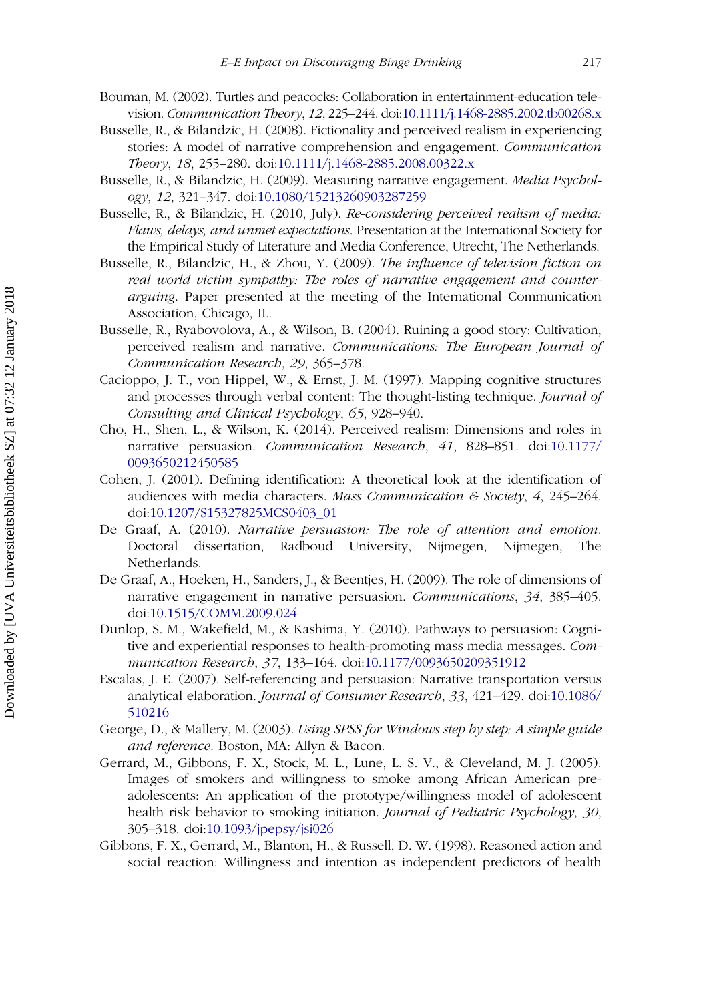- <span id="page-24-0"></span>Bouman, M. (2002). Turtles and peacocks: Collaboration in entertainment-education television. Communication Theory, 12, 225–244. doi:[10.1111/j.1468-2885.2002.tb00268.x](http://dx.doi.org/10.1111/j.1468-2885.2002.tb00268.x)
- Busselle, R., & Bilandzic, H. (2008). Fictionality and perceived realism in experiencing stories: A model of narrative comprehension and engagement. Communication Theory, 18, 255–280. doi:[10.1111/j.1468-2885.2008.00322.x](http://dx.doi.org/10.1111/j.1468-2885.2008.00322.x)
- Busselle, R., & Bilandzic, H. (2009). Measuring narrative engagement. Media Psychology, 12, 321–347. doi:[10.1080/15213260903287259](http://dx.doi.org/10.1080/15213260903287259)
- Busselle, R., & Bilandzic, H. (2010, July). Re-considering perceived realism of media: Flaws, delays, and unmet expectations. Presentation at the International Society for the Empirical Study of Literature and Media Conference, Utrecht, The Netherlands.
- Busselle, R., Bilandzic, H., & Zhou, Y. (2009). The influence of television fiction on real world victim sympathy: The roles of narrative engagement and counterarguing. Paper presented at the meeting of the International Communication Association, Chicago, IL.
- Busselle, R., Ryabovolova, A., & Wilson, B. (2004). Ruining a good story: Cultivation, perceived realism and narrative. Communications: The European Journal of Communication Research, 29, 365–378.
- Cacioppo, J. T., von Hippel, W., & Ernst, J. M. (1997). Mapping cognitive structures and processes through verbal content: The thought-listing technique. *Journal of* Consulting and Clinical Psychology, 65, 928–940.
- Cho, H., Shen, L., & Wilson, K. (2014). Perceived realism: Dimensions and roles in narrative persuasion. Communication Research, 41, 828–851. doi:[10.1177/](http://dx.doi.org/10.1177/0093650212450585) [0093650212450585](http://dx.doi.org/10.1177/0093650212450585)
- Cohen, J. (2001). Defining identification: A theoretical look at the identification of audiences with media characters. Mass Communication & Society,  $4$ , 245–264. doi:[10.1207/S15327825MCS0403\\_01](http://dx.doi.org/10.1207/S15327825MCS0403%5F01)
- De Graaf, A. (2010). Narrative persuasion: The role of attention and emotion. Doctoral dissertation, Radboud University, Nijmegen, Nijmegen, The Netherlands.
- De Graaf, A., Hoeken, H., Sanders, J., & Beentjes, H. (2009). The role of dimensions of narrative engagement in narrative persuasion. Communications, 34, 385–405. doi:[10.1515/COMM.2009.024](http://dx.doi.org/10.1515/COMM.2009.024)
- Dunlop, S. M., Wakefield, M., & Kashima, Y. (2010). Pathways to persuasion: Cognitive and experiential responses to health-promoting mass media messages. Communication Research, 37, 133–164. doi:[10.1177/0093650209351912](http://dx.doi.org/10.1177/0093650209351912)
- Escalas, J. E. (2007). Self-referencing and persuasion: Narrative transportation versus analytical elaboration. Journal of Consumer Research, 33, 421–429. doi:[10.1086/](http://dx.doi.org/10.1086/510216) [510216](http://dx.doi.org/10.1086/510216)
- George, D., & Mallery, M. (2003). Using SPSS for Windows step by step: A simple guide and reference. Boston, MA: Allyn & Bacon.
- Gerrard, M., Gibbons, F. X., Stock, M. L., Lune, L. S. V., & Cleveland, M. J. (2005). Images of smokers and willingness to smoke among African American preadolescents: An application of the prototype/willingness model of adolescent health risk behavior to smoking initiation. Journal of Pediatric Psychology, 30, 305–318. doi:[10.1093/jpepsy/jsi026](http://dx.doi.org/10.1093/jpepsy/jsi026)
- Gibbons, F. X., Gerrard, M., Blanton, H., & Russell, D. W. (1998). Reasoned action and social reaction: Willingness and intention as independent predictors of health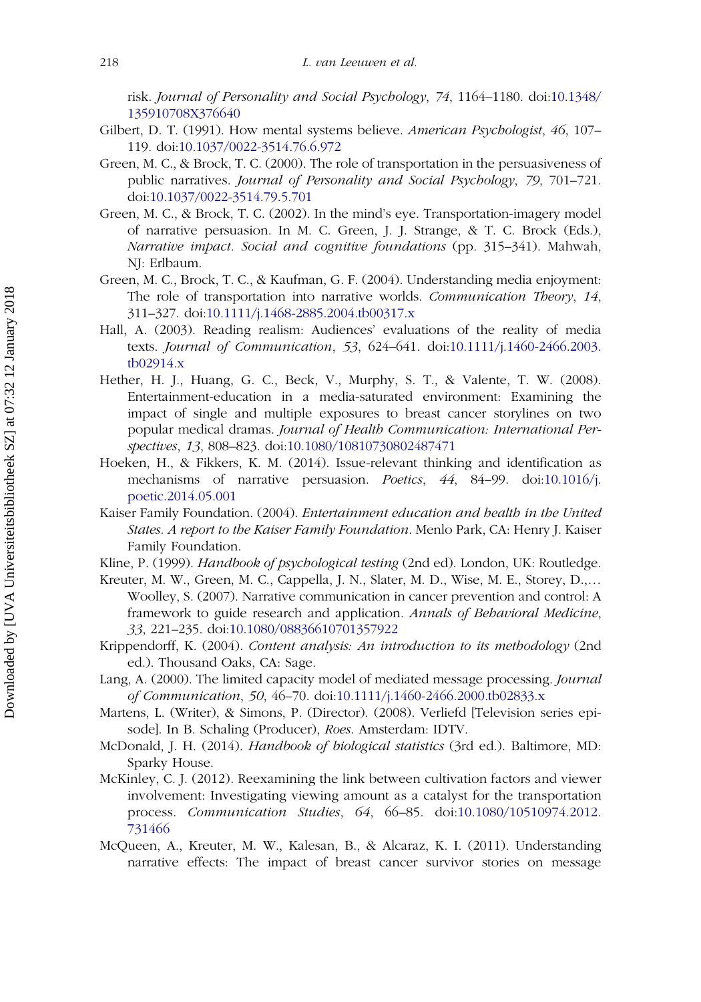<span id="page-25-0"></span>risk. Journal of Personality and Social Psychology, 74, 1164–1180. doi:[10.1348/](http://dx.doi.org/10.1348/135910708X376640) [135910708X376640](http://dx.doi.org/10.1348/135910708X376640)

- Gilbert, D. T. (1991). How mental systems believe. American Psychologist, 46, 107– 119. doi:[10.1037/0022-3514.76.6.972](http://dx.doi.org/10.1037/0022-3514.76.6.972)
- Green, M. C., & Brock, T. C. (2000). The role of transportation in the persuasiveness of public narratives. Journal of Personality and Social Psychology, 79, 701–721. doi:[10.1037/0022-3514.79.5.701](http://dx.doi.org/10.1037/0022-3514.79.5.701)
- Green, M. C., & Brock, T. C. (2002). In the mind's eye. Transportation-imagery model of narrative persuasion. In M. C. Green, J. J. Strange, & T. C. Brock (Eds.), Narrative impact. Social and cognitive foundations (pp. 315–341). Mahwah, NJ: Erlbaum.
- Green, M. C., Brock, T. C., & Kaufman, G. F. (2004). Understanding media enjoyment: The role of transportation into narrative worlds. Communication Theory, 14, 311–327. doi:[10.1111/j.1468-2885.2004.tb00317.x](http://dx.doi.org/10.1111/j.1468-2885.2004.tb00317.x)
- Hall, A. (2003). Reading realism: Audiences' evaluations of the reality of media texts. Journal of Communication, 53, 624–641. doi:[10.1111/j.1460-2466.2003.](http://dx.doi.org/10.1111/j.1460-2466.2003.tb02914.x) [tb02914.x](http://dx.doi.org/10.1111/j.1460-2466.2003.tb02914.x)
- Hether, H. J., Huang, G. C., Beck, V., Murphy, S. T., & Valente, T. W. (2008). Entertainment-education in a media-saturated environment: Examining the impact of single and multiple exposures to breast cancer storylines on two popular medical dramas. Journal of Health Communication: International Perspectives, 13, 808–823. doi:[10.1080/10810730802487471](http://dx.doi.org/10.1080/10810730802487471)
- Hoeken, H., & Fikkers, K. M. (2014). Issue-relevant thinking and identification as mechanisms of narrative persuasion. Poetics, 44, 84–99. doi:[10.1016/j.](http://dx.doi.org/10.1016/j.poetic.2014.05.001) [poetic.2014.05.001](http://dx.doi.org/10.1016/j.poetic.2014.05.001)
- Kaiser Family Foundation. (2004). Entertainment education and health in the United States. A report to the Kaiser Family Foundation. Menlo Park, CA: Henry J. Kaiser Family Foundation.
- Kline, P. (1999). *Handbook of psychological testing* (2nd ed). London, UK: Routledge.
- Kreuter, M. W., Green, M. C., Cappella, J. N., Slater, M. D., Wise, M. E., Storey, D.,… Woolley, S. (2007). Narrative communication in cancer prevention and control: A framework to guide research and application. Annals of Behavioral Medicine, 33, 221–235. doi:[10.1080/08836610701357922](http://dx.doi.org/10.1080/08836610701357922)
- Krippendorff, K. (2004). Content analysis: An introduction to its methodology (2nd ed.). Thousand Oaks, CA: Sage.
- Lang, A. (2000). The limited capacity model of mediated message processing. Journal of Communication, 50, 46–70. doi:[10.1111/j.1460-2466.2000.tb02833.x](http://dx.doi.org/10.1111/j.1460-2466.2000.tb02833.x)
- Martens, L. (Writer), & Simons, P. (Director). (2008). Verliefd [Television series episode]. In B. Schaling (Producer), Roes. Amsterdam: IDTV.
- McDonald, J. H. (2014). Handbook of biological statistics (3rd ed.). Baltimore, MD: Sparky House.
- McKinley, C. J. (2012). Reexamining the link between cultivation factors and viewer involvement: Investigating viewing amount as a catalyst for the transportation process. Communication Studies, 64, 66–85. doi:[10.1080/10510974.2012.](http://dx.doi.org/10.1080/10510974.2012.731466) [731466](http://dx.doi.org/10.1080/10510974.2012.731466)
- McQueen, A., Kreuter, M. W., Kalesan, B., & Alcaraz, K. I. (2011). Understanding narrative effects: The impact of breast cancer survivor stories on message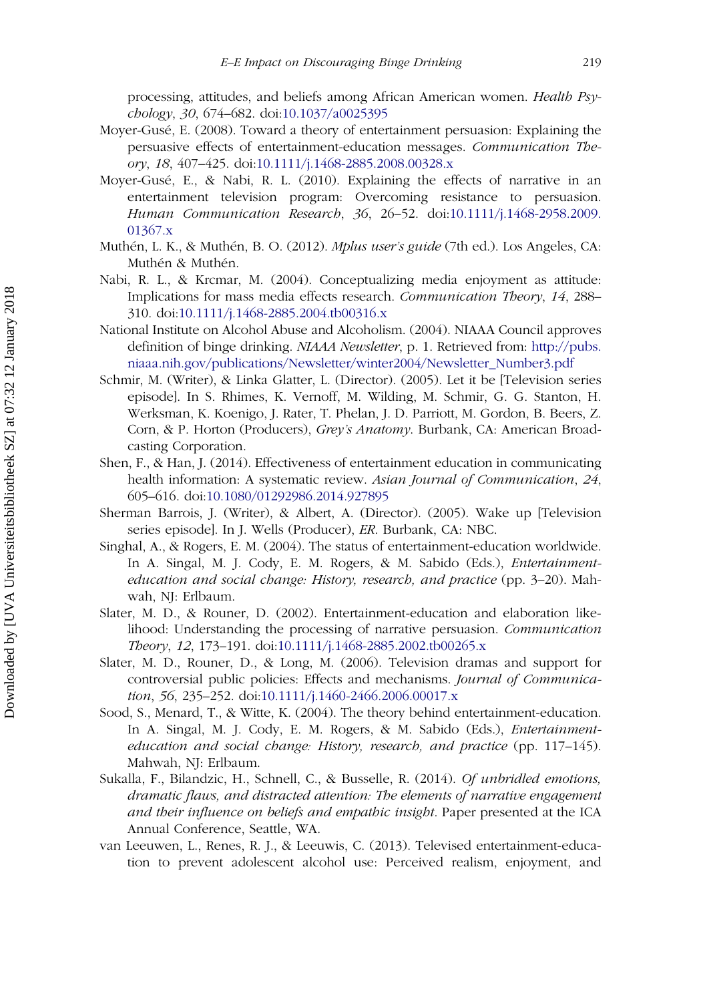<span id="page-26-0"></span>processing, attitudes, and beliefs among African American women. Health Psychology, 30, 674–682. doi:[10.1037/a0025395](http://dx.doi.org/10.1037/a0025395)

- Moyer-Gusé, E. (2008). Toward a theory of entertainment persuasion: Explaining the persuasive effects of entertainment-education messages. Communication Theory, 18, 407–425. doi:[10.1111/j.1468-2885.2008.00328.x](http://dx.doi.org/10.1111/j.1468-2885.2008.00328.x)
- Moyer-Gusé, E., & Nabi, R. L. (2010). Explaining the effects of narrative in an entertainment television program: Overcoming resistance to persuasion. Human Communication Research, 36, 26–52. doi:[10.1111/j.1468-2958.2009.](http://dx.doi.org/10.1111/j.1468-2958.2009.01367.x) [01367.x](http://dx.doi.org/10.1111/j.1468-2958.2009.01367.x)
- Muthén, L. K., & Muthén, B. O. (2012). Mplus user's guide (7th ed.). Los Angeles, CA: Muthén & Muthén.
- Nabi, R. L., & Krcmar, M. (2004). Conceptualizing media enjoyment as attitude: Implications for mass media effects research. Communication Theory, 14, 288– 310. doi:[10.1111/j.1468-2885.2004.tb00316.x](http://dx.doi.org/10.1111/j.1468-2885.2004.tb00316.x)
- National Institute on Alcohol Abuse and Alcoholism. (2004). NIAAA Council approves definition of binge drinking. NIAAA Newsletter, p. 1. Retrieved from: [http://pubs.](http://pubs.niaaa.nih.gov/publications/Newsletter/winter2004/Newsletter_Number3.pdf) [niaaa.nih.gov/publications/Newsletter/winter2004/Newsletter\\_Number3.pdf](http://pubs.niaaa.nih.gov/publications/Newsletter/winter2004/Newsletter_Number3.pdf)
- Schmir, M. (Writer), & Linka Glatter, L. (Director). (2005). Let it be [Television series episode]. In S. Rhimes, K. Vernoff, M. Wilding, M. Schmir, G. G. Stanton, H. Werksman, K. Koenigo, J. Rater, T. Phelan, J. D. Parriott, M. Gordon, B. Beers, Z. Corn, & P. Horton (Producers), Grey's Anatomy. Burbank, CA: American Broadcasting Corporation.
- Shen, F., & Han, J. (2014). Effectiveness of entertainment education in communicating health information: A systematic review. Asian Journal of Communication, 24, 605–616. doi:[10.1080/01292986.2014.927895](http://dx.doi.org/10.1080/01292986.2014.927895)
- Sherman Barrois, J. (Writer), & Albert, A. (Director). (2005). Wake up [Television series episode]. In J. Wells (Producer), ER. Burbank, CA: NBC.
- Singhal, A., & Rogers, E. M. (2004). The status of entertainment-education worldwide. In A. Singal, M. J. Cody, E. M. Rogers, & M. Sabido (Eds.), Entertainmenteducation and social change: History, research, and practice (pp. 3–20). Mahwah, NJ: Erlbaum.
- Slater, M. D., & Rouner, D. (2002). Entertainment-education and elaboration likelihood: Understanding the processing of narrative persuasion. Communication Theory, 12, 173–191. doi:[10.1111/j.1468-2885.2002.tb00265.x](http://dx.doi.org/10.1111/j.1468-2885.2002.tb00265.x)
- Slater, M. D., Rouner, D., & Long, M. (2006). Television dramas and support for controversial public policies: Effects and mechanisms. Journal of Communication, 56, 235–252. doi:[10.1111/j.1460-2466.2006.00017.x](http://dx.doi.org/10.1111/j.1460-2466.2006.00017.x)
- Sood, S., Menard, T., & Witte, K. (2004). The theory behind entertainment-education. In A. Singal, M. J. Cody, E. M. Rogers, & M. Sabido (Eds.), Entertainmenteducation and social change: History, research, and practice (pp. 117-145). Mahwah, NJ: Erlbaum.
- Sukalla, F., Bilandzic, H., Schnell, C., & Busselle, R. (2014). Of unbridled emotions, dramatic flaws, and distracted attention: The elements of narrative engagement and their influence on beliefs and empathic insight. Paper presented at the ICA Annual Conference, Seattle, WA.
- van Leeuwen, L., Renes, R. J., & Leeuwis, C. (2013). Televised entertainment-education to prevent adolescent alcohol use: Perceived realism, enjoyment, and